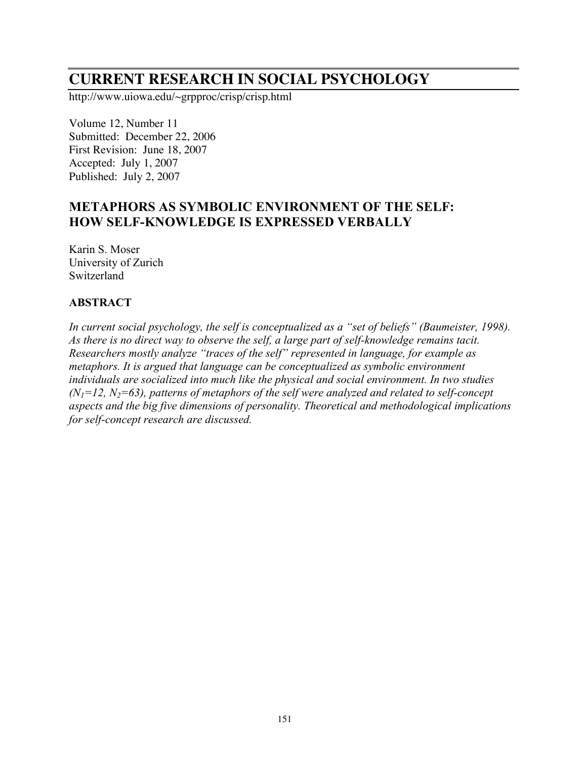# **CURRENT RESEARCH IN SOCIAL PSYCHOLOGY**

http://www.uiowa.edu/~grpproc/crisp/crisp.html

Volume 12, Number 11 Submitted: December 22, 2006 First Revision: June 18, 2007 Accepted: July 1, 2007 Published: July 2, 2007

# **METAPHORS AS SYMBOLIC ENVIRONMENT OF THE SELF: HOW SELF-KNOWLEDGE IS EXPRESSED VERBALLY**

Karin S. Moser University of Zurich Switzerland

# **ABSTRACT**

*In current social psychology, the self is conceptualized as a "set of beliefs" (Baumeister, 1998). As there is no direct way to observe the self, a large part of self-knowledge remains tacit. Researchers mostly analyze "traces of the self" represented in language, for example as metaphors. It is argued that language can be conceptualized as symbolic environment individuals are socialized into much like the physical and social environment. In two studies*  $(N_1=12, N_2=63)$ , patterns of metaphors of the self were analyzed and related to self-concept *aspects and the big five dimensions of personality. Theoretical and methodological implications for self-concept research are discussed.*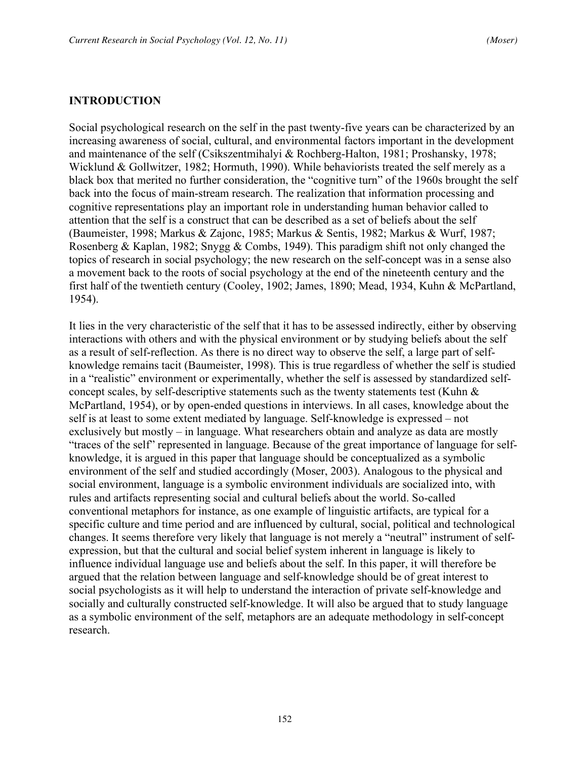#### **INTRODUCTION**

Social psychological research on the self in the past twenty-five years can be characterized by an increasing awareness of social, cultural, and environmental factors important in the development and maintenance of the self (Csikszentmihalyi & Rochberg-Halton, 1981; Proshansky, 1978; Wicklund & Gollwitzer, 1982; Hormuth, 1990). While behaviorists treated the self merely as a black box that merited no further consideration, the "cognitive turn" of the 1960s brought the self back into the focus of main-stream research. The realization that information processing and cognitive representations play an important role in understanding human behavior called to attention that the self is a construct that can be described as a set of beliefs about the self (Baumeister, 1998; Markus & Zajonc, 1985; Markus & Sentis, 1982; Markus & Wurf, 1987; Rosenberg & Kaplan, 1982; Snygg & Combs, 1949). This paradigm shift not only changed the topics of research in social psychology; the new research on the self-concept was in a sense also a movement back to the roots of social psychology at the end of the nineteenth century and the first half of the twentieth century (Cooley, 1902; James, 1890; Mead, 1934, Kuhn & McPartland, 1954).

It lies in the very characteristic of the self that it has to be assessed indirectly, either by observing interactions with others and with the physical environment or by studying beliefs about the self as a result of self-reflection. As there is no direct way to observe the self, a large part of selfknowledge remains tacit (Baumeister, 1998). This is true regardless of whether the self is studied in a "realistic" environment or experimentally, whether the self is assessed by standardized selfconcept scales, by self-descriptive statements such as the twenty statements test (Kuhn & McPartland, 1954), or by open-ended questions in interviews. In all cases, knowledge about the self is at least to some extent mediated by language. Self-knowledge is expressed – not exclusively but mostly – in language. What researchers obtain and analyze as data are mostly "traces of the self" represented in language. Because of the great importance of language for selfknowledge, it is argued in this paper that language should be conceptualized as a symbolic environment of the self and studied accordingly (Moser, 2003). Analogous to the physical and social environment, language is a symbolic environment individuals are socialized into, with rules and artifacts representing social and cultural beliefs about the world. So-called conventional metaphors for instance, as one example of linguistic artifacts, are typical for a specific culture and time period and are influenced by cultural, social, political and technological changes. It seems therefore very likely that language is not merely a "neutral" instrument of selfexpression, but that the cultural and social belief system inherent in language is likely to influence individual language use and beliefs about the self. In this paper, it will therefore be argued that the relation between language and self-knowledge should be of great interest to social psychologists as it will help to understand the interaction of private self-knowledge and socially and culturally constructed self-knowledge. It will also be argued that to study language as a symbolic environment of the self, metaphors are an adequate methodology in self-concept research.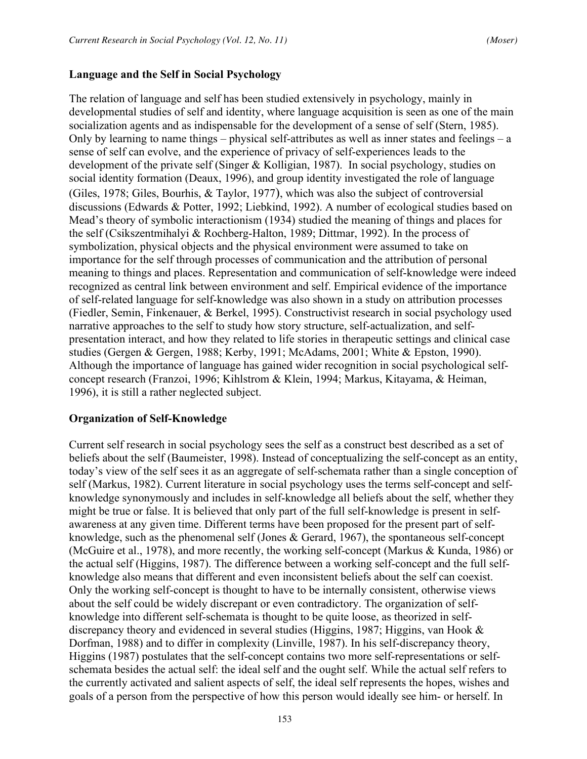## **Language and the Self in Social Psychology**

The relation of language and self has been studied extensively in psychology, mainly in developmental studies of self and identity, where language acquisition is seen as one of the main socialization agents and as indispensable for the development of a sense of self (Stern, 1985). Only by learning to name things – physical self-attributes as well as inner states and feelings – a sense of self can evolve, and the experience of privacy of self-experiences leads to the development of the private self (Singer & Kolligian, 1987). In social psychology, studies on social identity formation (Deaux, 1996), and group identity investigated the role of language (Giles, 1978; Giles, Bourhis, & Taylor, 1977), which was also the subject of controversial discussions (Edwards & Potter, 1992; Liebkind, 1992). A number of ecological studies based on Mead's theory of symbolic interactionism (1934) studied the meaning of things and places for the self (Csikszentmihalyi & Rochberg-Halton, 1989; Dittmar, 1992). In the process of symbolization, physical objects and the physical environment were assumed to take on importance for the self through processes of communication and the attribution of personal meaning to things and places. Representation and communication of self-knowledge were indeed recognized as central link between environment and self. Empirical evidence of the importance of self-related language for self-knowledge was also shown in a study on attribution processes (Fiedler, Semin, Finkenauer, & Berkel, 1995). Constructivist research in social psychology used narrative approaches to the self to study how story structure, self-actualization, and selfpresentation interact, and how they related to life stories in therapeutic settings and clinical case studies (Gergen & Gergen, 1988; Kerby, 1991; McAdams, 2001; White & Epston, 1990). Although the importance of language has gained wider recognition in social psychological selfconcept research (Franzoi, 1996; Kihlstrom & Klein, 1994; Markus, Kitayama, & Heiman, 1996), it is still a rather neglected subject.

#### **Organization of Self-Knowledge**

Current self research in social psychology sees the self as a construct best described as a set of beliefs about the self (Baumeister, 1998). Instead of conceptualizing the self-concept as an entity, today's view of the self sees it as an aggregate of self-schemata rather than a single conception of self (Markus, 1982). Current literature in social psychology uses the terms self-concept and selfknowledge synonymously and includes in self-knowledge all beliefs about the self, whether they might be true or false. It is believed that only part of the full self-knowledge is present in selfawareness at any given time. Different terms have been proposed for the present part of selfknowledge, such as the phenomenal self (Jones & Gerard, 1967), the spontaneous self-concept (McGuire et al., 1978), and more recently, the working self-concept (Markus & Kunda, 1986) or the actual self (Higgins, 1987). The difference between a working self-concept and the full selfknowledge also means that different and even inconsistent beliefs about the self can coexist. Only the working self-concept is thought to have to be internally consistent, otherwise views about the self could be widely discrepant or even contradictory. The organization of selfknowledge into different self-schemata is thought to be quite loose, as theorized in selfdiscrepancy theory and evidenced in several studies (Higgins, 1987; Higgins, van Hook & Dorfman, 1988) and to differ in complexity (Linville, 1987). In his self-discrepancy theory, Higgins (1987) postulates that the self-concept contains two more self-representations or selfschemata besides the actual self: the ideal self and the ought self. While the actual self refers to the currently activated and salient aspects of self, the ideal self represents the hopes, wishes and goals of a person from the perspective of how this person would ideally see him- or herself. In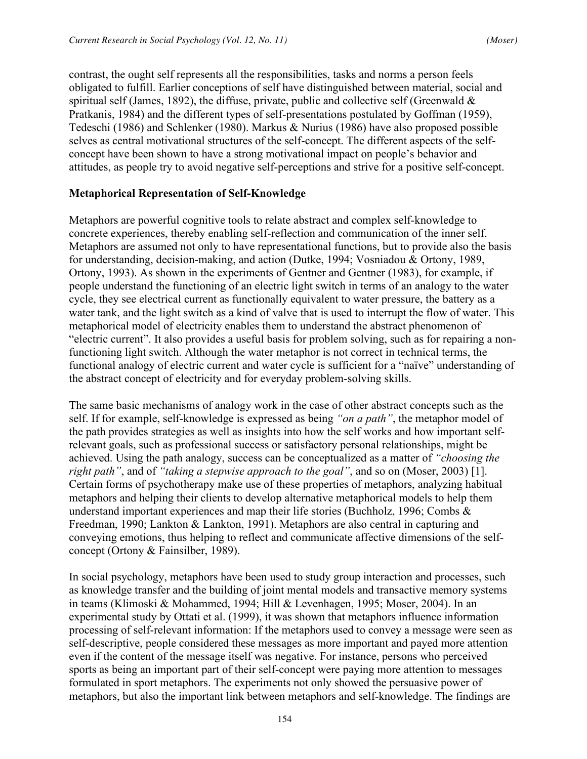contrast, the ought self represents all the responsibilities, tasks and norms a person feels obligated to fulfill. Earlier conceptions of self have distinguished between material, social and spiritual self (James, 1892), the diffuse, private, public and collective self (Greenwald  $\&$ Pratkanis, 1984) and the different types of self-presentations postulated by Goffman (1959), Tedeschi (1986) and Schlenker (1980). Markus & Nurius (1986) have also proposed possible selves as central motivational structures of the self-concept. The different aspects of the selfconcept have been shown to have a strong motivational impact on people's behavior and attitudes, as people try to avoid negative self-perceptions and strive for a positive self-concept.

#### **Metaphorical Representation of Self-Knowledge**

Metaphors are powerful cognitive tools to relate abstract and complex self-knowledge to concrete experiences, thereby enabling self-reflection and communication of the inner self. Metaphors are assumed not only to have representational functions, but to provide also the basis for understanding, decision-making, and action (Dutke, 1994; Vosniadou & Ortony, 1989, Ortony, 1993). As shown in the experiments of Gentner and Gentner (1983), for example, if people understand the functioning of an electric light switch in terms of an analogy to the water cycle, they see electrical current as functionally equivalent to water pressure, the battery as a water tank, and the light switch as a kind of valve that is used to interrupt the flow of water. This metaphorical model of electricity enables them to understand the abstract phenomenon of "electric current". It also provides a useful basis for problem solving, such as for repairing a nonfunctioning light switch. Although the water metaphor is not correct in technical terms, the functional analogy of electric current and water cycle is sufficient for a "naïve" understanding of the abstract concept of electricity and for everyday problem-solving skills.

The same basic mechanisms of analogy work in the case of other abstract concepts such as the self. If for example, self-knowledge is expressed as being *"on a path"*, the metaphor model of the path provides strategies as well as insights into how the self works and how important selfrelevant goals, such as professional success or satisfactory personal relationships, might be achieved. Using the path analogy, success can be conceptualized as a matter of *"choosing the right path"*, and of *"taking a stepwise approach to the goal"*, and so on (Moser, 2003) [1]. Certain forms of psychotherapy make use of these properties of metaphors, analyzing habitual metaphors and helping their clients to develop alternative metaphorical models to help them understand important experiences and map their life stories (Buchholz, 1996; Combs & Freedman, 1990; Lankton & Lankton, 1991). Metaphors are also central in capturing and conveying emotions, thus helping to reflect and communicate affective dimensions of the selfconcept (Ortony & Fainsilber, 1989).

In social psychology, metaphors have been used to study group interaction and processes, such as knowledge transfer and the building of joint mental models and transactive memory systems in teams (Klimoski & Mohammed, 1994; Hill & Levenhagen, 1995; Moser, 2004). In an experimental study by Ottati et al. (1999), it was shown that metaphors influence information processing of self-relevant information: If the metaphors used to convey a message were seen as self-descriptive, people considered these messages as more important and payed more attention even if the content of the message itself was negative. For instance, persons who perceived sports as being an important part of their self-concept were paying more attention to messages formulated in sport metaphors. The experiments not only showed the persuasive power of metaphors, but also the important link between metaphors and self-knowledge. The findings are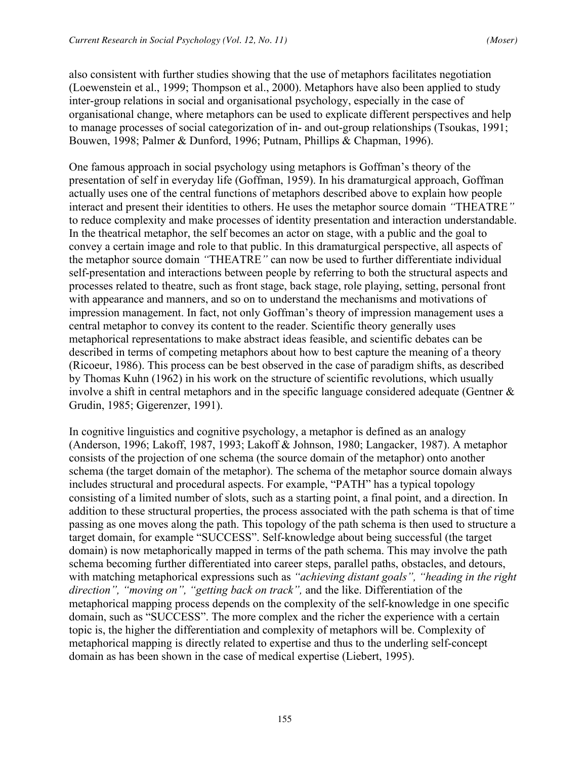also consistent with further studies showing that the use of metaphors facilitates negotiation (Loewenstein et al., 1999; Thompson et al., 2000). Metaphors have also been applied to study inter-group relations in social and organisational psychology, especially in the case of organisational change, where metaphors can be used to explicate different perspectives and help to manage processes of social categorization of in- and out-group relationships (Tsoukas, 1991; Bouwen, 1998; Palmer & Dunford, 1996; Putnam, Phillips & Chapman, 1996).

One famous approach in social psychology using metaphors is Goffman's theory of the presentation of self in everyday life (Goffman, 1959). In his dramaturgical approach, Goffman actually uses one of the central functions of metaphors described above to explain how people interact and present their identities to others. He uses the metaphor source domain *"*THEATRE*"* to reduce complexity and make processes of identity presentation and interaction understandable. In the theatrical metaphor, the self becomes an actor on stage, with a public and the goal to convey a certain image and role to that public. In this dramaturgical perspective, all aspects of the metaphor source domain *"*THEATRE*"* can now be used to further differentiate individual self-presentation and interactions between people by referring to both the structural aspects and processes related to theatre, such as front stage, back stage, role playing, setting, personal front with appearance and manners, and so on to understand the mechanisms and motivations of impression management. In fact, not only Goffman's theory of impression management uses a central metaphor to convey its content to the reader. Scientific theory generally uses metaphorical representations to make abstract ideas feasible, and scientific debates can be described in terms of competing metaphors about how to best capture the meaning of a theory (Ricoeur, 1986). This process can be best observed in the case of paradigm shifts, as described by Thomas Kuhn (1962) in his work on the structure of scientific revolutions, which usually involve a shift in central metaphors and in the specific language considered adequate (Gentner & Grudin, 1985; Gigerenzer, 1991).

In cognitive linguistics and cognitive psychology, a metaphor is defined as an analogy (Anderson, 1996; Lakoff, 1987, 1993; Lakoff & Johnson, 1980; Langacker, 1987). A metaphor consists of the projection of one schema (the source domain of the metaphor) onto another schema (the target domain of the metaphor). The schema of the metaphor source domain always includes structural and procedural aspects. For example, "PATH" has a typical topology consisting of a limited number of slots, such as a starting point, a final point, and a direction. In addition to these structural properties, the process associated with the path schema is that of time passing as one moves along the path. This topology of the path schema is then used to structure a target domain, for example "SUCCESS". Self-knowledge about being successful (the target domain) is now metaphorically mapped in terms of the path schema. This may involve the path schema becoming further differentiated into career steps, parallel paths, obstacles, and detours, with matching metaphorical expressions such as *"achieving distant goals", "heading in the right direction", "moving on", "getting back on track",* and the like. Differentiation of the metaphorical mapping process depends on the complexity of the self-knowledge in one specific domain, such as "SUCCESS". The more complex and the richer the experience with a certain topic is, the higher the differentiation and complexity of metaphors will be. Complexity of metaphorical mapping is directly related to expertise and thus to the underling self-concept domain as has been shown in the case of medical expertise (Liebert, 1995).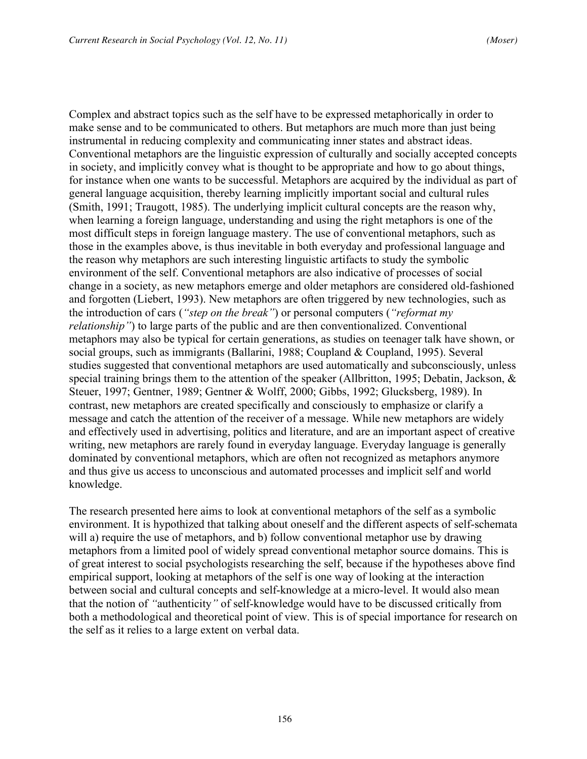Complex and abstract topics such as the self have to be expressed metaphorically in order to make sense and to be communicated to others. But metaphors are much more than just being instrumental in reducing complexity and communicating inner states and abstract ideas. Conventional metaphors are the linguistic expression of culturally and socially accepted concepts in society, and implicitly convey what is thought to be appropriate and how to go about things, for instance when one wants to be successful. Metaphors are acquired by the individual as part of general language acquisition, thereby learning implicitly important social and cultural rules (Smith, 1991; Traugott, 1985). The underlying implicit cultural concepts are the reason why, when learning a foreign language, understanding and using the right metaphors is one of the most difficult steps in foreign language mastery. The use of conventional metaphors, such as those in the examples above, is thus inevitable in both everyday and professional language and the reason why metaphors are such interesting linguistic artifacts to study the symbolic environment of the self. Conventional metaphors are also indicative of processes of social change in a society, as new metaphors emerge and older metaphors are considered old-fashioned and forgotten (Liebert, 1993). New metaphors are often triggered by new technologies, such as the introduction of cars (*"step on the break"*) or personal computers (*"reformat my relationship"*) to large parts of the public and are then conventionalized. Conventional metaphors may also be typical for certain generations, as studies on teenager talk have shown, or social groups, such as immigrants (Ballarini, 1988; Coupland & Coupland, 1995). Several studies suggested that conventional metaphors are used automatically and subconsciously, unless special training brings them to the attention of the speaker (Allbritton, 1995; Debatin, Jackson, & Steuer, 1997; Gentner, 1989; Gentner & Wolff, 2000; Gibbs, 1992; Glucksberg, 1989). In contrast, new metaphors are created specifically and consciously to emphasize or clarify a message and catch the attention of the receiver of a message. While new metaphors are widely and effectively used in advertising, politics and literature, and are an important aspect of creative writing, new metaphors are rarely found in everyday language. Everyday language is generally dominated by conventional metaphors, which are often not recognized as metaphors anymore and thus give us access to unconscious and automated processes and implicit self and world knowledge.

The research presented here aims to look at conventional metaphors of the self as a symbolic environment. It is hypothized that talking about oneself and the different aspects of self-schemata will a) require the use of metaphors, and b) follow conventional metaphor use by drawing metaphors from a limited pool of widely spread conventional metaphor source domains. This is of great interest to social psychologists researching the self, because if the hypotheses above find empirical support, looking at metaphors of the self is one way of looking at the interaction between social and cultural concepts and self-knowledge at a micro-level. It would also mean that the notion of *"*authenticity*"* of self-knowledge would have to be discussed critically from both a methodological and theoretical point of view. This is of special importance for research on the self as it relies to a large extent on verbal data.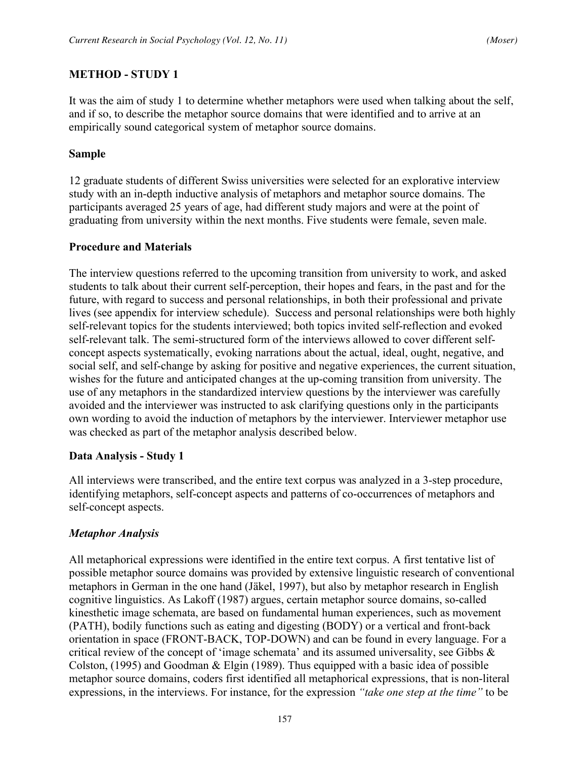## **METHOD - STUDY 1**

It was the aim of study 1 to determine whether metaphors were used when talking about the self, and if so, to describe the metaphor source domains that were identified and to arrive at an empirically sound categorical system of metaphor source domains.

#### **Sample**

12 graduate students of different Swiss universities were selected for an explorative interview study with an in-depth inductive analysis of metaphors and metaphor source domains. The participants averaged 25 years of age, had different study majors and were at the point of graduating from university within the next months. Five students were female, seven male.

#### **Procedure and Materials**

The interview questions referred to the upcoming transition from university to work, and asked students to talk about their current self-perception, their hopes and fears, in the past and for the future, with regard to success and personal relationships, in both their professional and private lives (see appendix for interview schedule). Success and personal relationships were both highly self-relevant topics for the students interviewed; both topics invited self-reflection and evoked self-relevant talk. The semi-structured form of the interviews allowed to cover different selfconcept aspects systematically, evoking narrations about the actual, ideal, ought, negative, and social self, and self-change by asking for positive and negative experiences, the current situation, wishes for the future and anticipated changes at the up-coming transition from university. The use of any metaphors in the standardized interview questions by the interviewer was carefully avoided and the interviewer was instructed to ask clarifying questions only in the participants own wording to avoid the induction of metaphors by the interviewer. Interviewer metaphor use was checked as part of the metaphor analysis described below.

#### **Data Analysis - Study 1**

All interviews were transcribed, and the entire text corpus was analyzed in a 3-step procedure, identifying metaphors, self-concept aspects and patterns of co-occurrences of metaphors and self-concept aspects.

# *Metaphor Analysis*

All metaphorical expressions were identified in the entire text corpus. A first tentative list of possible metaphor source domains was provided by extensive linguistic research of conventional metaphors in German in the one hand (Jäkel, 1997), but also by metaphor research in English cognitive linguistics. As Lakoff (1987) argues, certain metaphor source domains, so-called kinesthetic image schemata, are based on fundamental human experiences, such as movement (PATH), bodily functions such as eating and digesting (BODY) or a vertical and front-back orientation in space (FRONT-BACK, TOP-DOWN) and can be found in every language. For a critical review of the concept of 'image schemata' and its assumed universality, see Gibbs & Colston, (1995) and Goodman & Elgin (1989). Thus equipped with a basic idea of possible metaphor source domains, coders first identified all metaphorical expressions, that is non-literal expressions, in the interviews. For instance, for the expression *"take one step at the time"* to be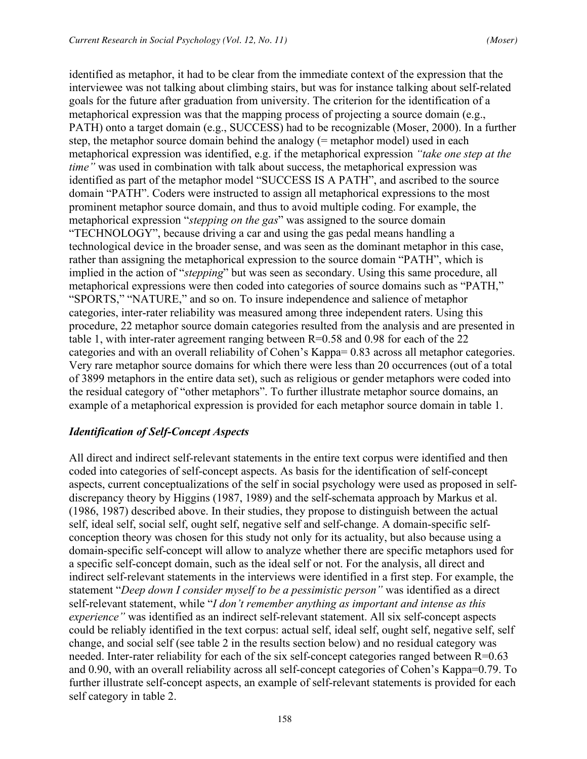identified as metaphor, it had to be clear from the immediate context of the expression that the interviewee was not talking about climbing stairs, but was for instance talking about self-related goals for the future after graduation from university. The criterion for the identification of a metaphorical expression was that the mapping process of projecting a source domain (e.g., PATH) onto a target domain (e.g., SUCCESS) had to be recognizable (Moser, 2000). In a further step, the metaphor source domain behind the analogy (= metaphor model) used in each metaphorical expression was identified, e.g. if the metaphorical expression *"take one step at the time"* was used in combination with talk about success, the metaphorical expression was identified as part of the metaphor model "SUCCESS IS A PATH", and ascribed to the source domain "PATH". Coders were instructed to assign all metaphorical expressions to the most prominent metaphor source domain, and thus to avoid multiple coding. For example, the metaphorical expression "*stepping on the gas*" was assigned to the source domain "TECHNOLOGY", because driving a car and using the gas pedal means handling a technological device in the broader sense, and was seen as the dominant metaphor in this case, rather than assigning the metaphorical expression to the source domain "PATH", which is implied in the action of "*stepping*" but was seen as secondary. Using this same procedure, all metaphorical expressions were then coded into categories of source domains such as "PATH," "SPORTS," "NATURE," and so on. To insure independence and salience of metaphor categories, inter-rater reliability was measured among three independent raters. Using this procedure, 22 metaphor source domain categories resulted from the analysis and are presented in table 1, with inter-rater agreement ranging between R=0.58 and 0.98 for each of the 22 categories and with an overall reliability of Cohen's Kappa= 0.83 across all metaphor categories. Very rare metaphor source domains for which there were less than 20 occurrences (out of a total of 3899 metaphors in the entire data set), such as religious or gender metaphors were coded into the residual category of "other metaphors". To further illustrate metaphor source domains, an example of a metaphorical expression is provided for each metaphor source domain in table 1.

# *Identification of Self-Concept Aspects*

All direct and indirect self-relevant statements in the entire text corpus were identified and then coded into categories of self-concept aspects. As basis for the identification of self-concept aspects, current conceptualizations of the self in social psychology were used as proposed in selfdiscrepancy theory by Higgins (1987, 1989) and the self-schemata approach by Markus et al. (1986, 1987) described above. In their studies, they propose to distinguish between the actual self, ideal self, social self, ought self, negative self and self-change. A domain-specific selfconception theory was chosen for this study not only for its actuality, but also because using a domain-specific self-concept will allow to analyze whether there are specific metaphors used for a specific self-concept domain, such as the ideal self or not. For the analysis, all direct and indirect self-relevant statements in the interviews were identified in a first step. For example, the statement "*Deep down I consider myself to be a pessimistic person"* was identified as a direct self-relevant statement, while "*I don't remember anything as important and intense as this experience"* was identified as an indirect self-relevant statement. All six self-concept aspects could be reliably identified in the text corpus: actual self, ideal self, ought self, negative self, self change, and social self (see table 2 in the results section below) and no residual category was needed. Inter-rater reliability for each of the six self-concept categories ranged between R=0.63 and 0.90, with an overall reliability across all self-concept categories of Cohen's Kappa=0.79. To further illustrate self-concept aspects, an example of self-relevant statements is provided for each self category in table 2.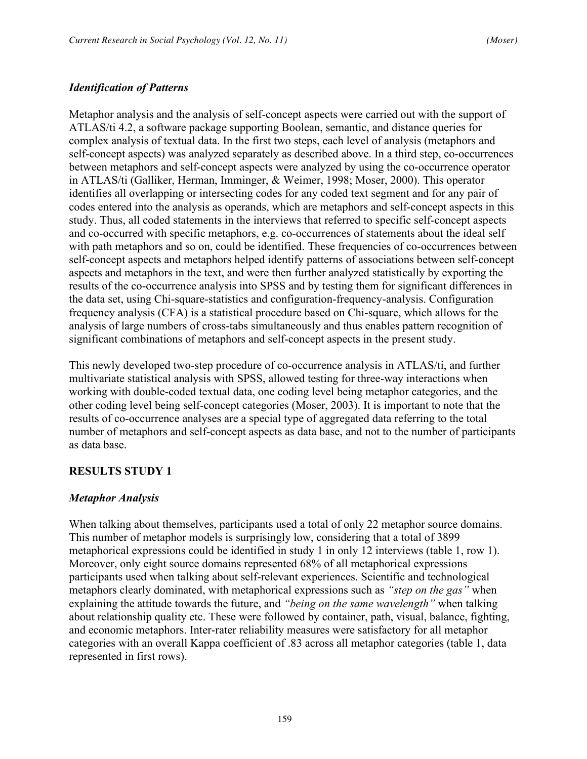# *Identification of Patterns*

Metaphor analysis and the analysis of self-concept aspects were carried out with the support of ATLAS/ti 4.2, a software package supporting Boolean, semantic, and distance queries for complex analysis of textual data. In the first two steps, each level of analysis (metaphors and self-concept aspects) was analyzed separately as described above. In a third step, co-occurrences between metaphors and self-concept aspects were analyzed by using the co-occurrence operator in ATLAS/ti (Galliker, Herman, Imminger, & Weimer, 1998; Moser, 2000). This operator identifies all overlapping or intersecting codes for any coded text segment and for any pair of codes entered into the analysis as operands, which are metaphors and self-concept aspects in this study. Thus, all coded statements in the interviews that referred to specific self-concept aspects and co-occurred with specific metaphors, e.g. co-occurrences of statements about the ideal self with path metaphors and so on, could be identified. These frequencies of co-occurrences between self-concept aspects and metaphors helped identify patterns of associations between self-concept aspects and metaphors in the text, and were then further analyzed statistically by exporting the results of the co-occurrence analysis into SPSS and by testing them for significant differences in the data set, using Chi-square-statistics and configuration-frequency-analysis. Configuration frequency analysis (CFA) is a statistical procedure based on Chi-square, which allows for the analysis of large numbers of cross-tabs simultaneously and thus enables pattern recognition of significant combinations of metaphors and self-concept aspects in the present study.

This newly developed two-step procedure of co-occurrence analysis in ATLAS/ti, and further multivariate statistical analysis with SPSS, allowed testing for three-way interactions when working with double-coded textual data, one coding level being metaphor categories, and the other coding level being self-concept categories (Moser, 2003). It is important to note that the results of co-occurrence analyses are a special type of aggregated data referring to the total number of metaphors and self-concept aspects as data base, and not to the number of participants as data base.

#### **RESULTS STUDY 1**

#### *Metaphor Analysis*

When talking about themselves, participants used a total of only 22 metaphor source domains. This number of metaphor models is surprisingly low, considering that a total of 3899 metaphorical expressions could be identified in study 1 in only 12 interviews (table 1, row 1). Moreover, only eight source domains represented 68% of all metaphorical expressions participants used when talking about self-relevant experiences. Scientific and technological metaphors clearly dominated, with metaphorical expressions such as *"step on the gas"* when explaining the attitude towards the future, and *"being on the same wavelength"* when talking about relationship quality etc. These were followed by container, path, visual, balance, fighting, and economic metaphors. Inter-rater reliability measures were satisfactory for all metaphor categories with an overall Kappa coefficient of .83 across all metaphor categories (table 1, data represented in first rows).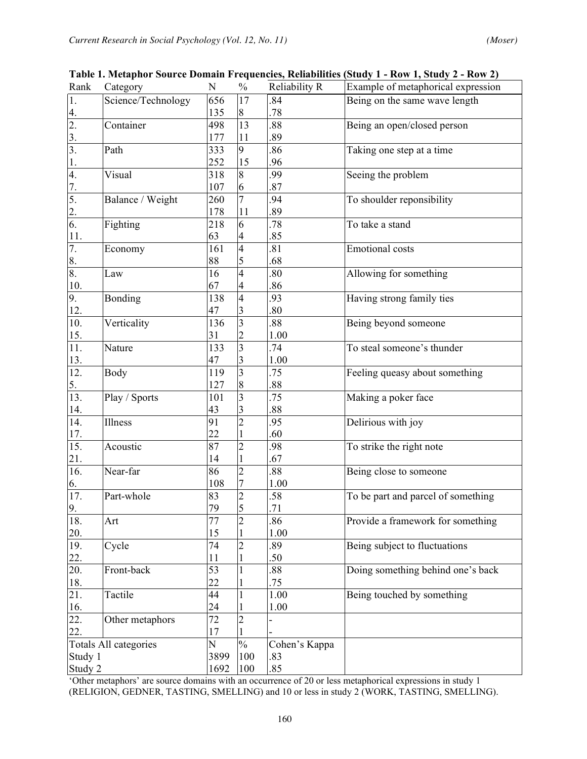| Rank                  | Category           | N               | $\frac{0}{0}$           | Reliability R    | Example of metaphorical expression |  |  |  |  |
|-----------------------|--------------------|-----------------|-------------------------|------------------|------------------------------------|--|--|--|--|
| 1.                    | Science/Technology | 656             | 17                      | .84              | Being on the same wave length      |  |  |  |  |
| 4.                    |                    | 135             | $8\,$                   | .78              |                                    |  |  |  |  |
| 2.                    | Container          | 498             | 13                      | .88              | Being an open/closed person        |  |  |  |  |
| $\overline{3}$ .      |                    | 177             | 11                      | .89              |                                    |  |  |  |  |
| $\overline{3}$ .      | Path               | 333             | 9                       | .86              | Taking one step at a time          |  |  |  |  |
| $\mathbf{1}$ .        |                    | 252             | 15                      | .96              |                                    |  |  |  |  |
| 4.                    | Visual             | 318             | 8                       | .99              | Seeing the problem                 |  |  |  |  |
| 7.                    |                    | 107             | 6                       | .87              |                                    |  |  |  |  |
| 5.                    | Balance / Weight   | 260             | $\overline{7}$          | .94              | To shoulder reponsibility          |  |  |  |  |
| $\frac{2}{6}$         |                    | 178             | 11                      | .89              |                                    |  |  |  |  |
|                       | Fighting           | 218             | 6                       | .78              | To take a stand                    |  |  |  |  |
| 11.                   |                    | 63              | 4                       | .85              |                                    |  |  |  |  |
| $\overline{7}$ .      | Economy            | 161             | 4                       | .81              | <b>Emotional</b> costs             |  |  |  |  |
| 8.                    |                    | 88              | 5                       | .68              |                                    |  |  |  |  |
| 8.                    | Law                | 16              | $\overline{4}$          | .80              | Allowing for something             |  |  |  |  |
| 10.                   |                    | 67              | 4                       | .86              |                                    |  |  |  |  |
| 9.                    | Bonding            | 138             | $\overline{4}$          | .93              | Having strong family ties          |  |  |  |  |
| 12.                   |                    | 47              | 3                       | .80              |                                    |  |  |  |  |
| $\overline{10}$ .     | Verticality        | 136             | $\overline{3}$          | .88              | Being beyond someone               |  |  |  |  |
| 15.                   |                    | 31              | $\overline{c}$          | 1.00             |                                    |  |  |  |  |
| $\overline{11}$ .     | Nature             | 133             | $\overline{\mathbf{3}}$ | $\overline{.}74$ | To steal someone's thunder         |  |  |  |  |
| 13.                   |                    | 47              | 3                       | 1.00             |                                    |  |  |  |  |
| $\overline{12}$ .     | Body               | 119             | $\overline{\mathbf{3}}$ | .75              | Feeling queasy about something     |  |  |  |  |
| 5 <sub>1</sub>        |                    | 127             | 8                       | .88              |                                    |  |  |  |  |
| 13.                   | Play / Sports      | 101             | $\overline{3}$          | .75              | Making a poker face                |  |  |  |  |
| $\frac{14}{14}$       |                    | 43              | 3                       | .88              |                                    |  |  |  |  |
|                       | Illness            | 91              | $\overline{2}$          | .95              | Delirious with joy                 |  |  |  |  |
| $\frac{17}{15}$       |                    | 22              | 1                       | .60              |                                    |  |  |  |  |
|                       | Acoustic           | 87              | $\overline{c}$          | .98              | To strike the right note           |  |  |  |  |
| $\frac{21}{16}$       |                    | 14              | $\mathbf 1$             | .67              |                                    |  |  |  |  |
|                       | Near-far           | 86              | $\overline{c}$          | .88              | Being close to someone             |  |  |  |  |
| 6.                    |                    | 108             | 7                       | 1.00             |                                    |  |  |  |  |
| $\overline{17}$ .     | Part-whole         | 83              | $\overline{c}$          | .58              | To be part and parcel of something |  |  |  |  |
| 9.                    |                    | 79              | 5                       | .71              |                                    |  |  |  |  |
| 18.                   | Art                | $\overline{77}$ | $\overline{2}$          | .86              | Provide a framework for something  |  |  |  |  |
| <u>20.</u>            |                    | 15              |                         | 1.00             |                                    |  |  |  |  |
| 19.                   | Cycle              | 74              | $\overline{2}$          | .89              | Being subject to fluctuations      |  |  |  |  |
| 22.                   |                    | 11              |                         | .50              |                                    |  |  |  |  |
| $\overline{20}$ .     | Front-back         | 53              |                         | .88              | Doing something behind one's back  |  |  |  |  |
| 18.                   |                    | 22              |                         | .75              |                                    |  |  |  |  |
| 21.                   | Tactile            | 44              | $\mathbf{1}$            | 1.00             | Being touched by something         |  |  |  |  |
| <u>16.</u>            |                    | 24              |                         | 1.00             |                                    |  |  |  |  |
| $\overline{22}$ .     | Other metaphors    | 72              | $\overline{2}$          |                  |                                    |  |  |  |  |
| 22.                   |                    | 17              |                         |                  |                                    |  |  |  |  |
| Totals All categories |                    | N               | $\frac{0}{0}$           | Cohen's Kappa    |                                    |  |  |  |  |
| Study 1               |                    | 3899            | 100                     | .83              |                                    |  |  |  |  |
| Study 2               |                    | 1692            | 100                     | .85              |                                    |  |  |  |  |

**Table 1. Metaphor Source Domain Frequencies, Reliabilities (Study 1 - Row 1, Study 2 - Row 2)**

'Other metaphors' are source domains with an occurrence of 20 or less metaphorical expressions in study 1 (RELIGION, GEDNER, TASTING, SMELLING) and 10 or less in study 2 (WORK, TASTING, SMELLING).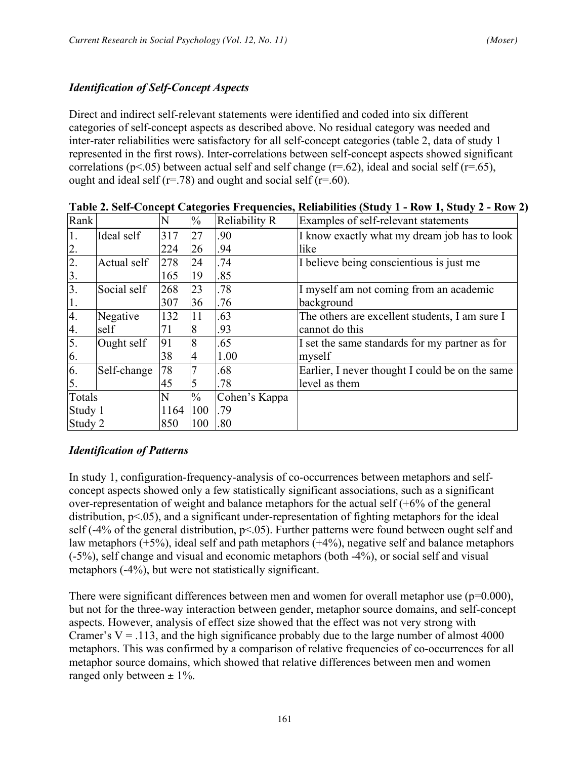# *Identification of Self-Concept Aspects*

Direct and indirect self-relevant statements were identified and coded into six different categories of self-concept aspects as described above. No residual category was needed and inter-rater reliabilities were satisfactory for all self-concept categories (table 2, data of study 1 represented in the first rows). Inter-correlations between self-concept aspects showed significant correlations ( $p<05$ ) between actual self and self change ( $r=62$ ), ideal and social self ( $r=65$ ), ought and ideal self ( $r = .78$ ) and ought and social self ( $r = .60$ ).

| Rank             |             | N    | $\frac{0}{0}$ | <b>Reliability R</b> | Examples of self-relevant statements            |
|------------------|-------------|------|---------------|----------------------|-------------------------------------------------|
| 1.               | Ideal self  | 317  | 27            | .90                  | I know exactly what my dream job has to look    |
| 2.               |             | 224  | 26            | .94                  | like                                            |
| $\overline{2}$ . | Actual self | 278  | 24            | .74                  | I believe being conscientious is just me        |
| 3.               |             | 165  | 19            | .85                  |                                                 |
| 3.               | Social self | 268  | 23            | .78                  | I myself am not coming from an academic         |
| 1.               |             | 307  | 36            | .76                  | background                                      |
| 4.               | Negative    | 132  | 11            | .63                  | The others are excellent students, I am sure I  |
| 4.               | self        | 71   | 8             | .93                  | cannot do this                                  |
| $\overline{5}$ . | Ought self  | 91   | 8             | .65                  | I set the same standards for my partner as for  |
| 6.               |             | 38   | 4             | 1.00                 | myself                                          |
| 6.               | Self-change | 78   |               | .68                  | Earlier, I never thought I could be on the same |
| 5.               |             | 45   | 5             | .78                  | level as them                                   |
| Totals           |             | N    | $\frac{0}{0}$ | Cohen's Kappa        |                                                 |
| Study 1          |             | 1164 | 100           | .79                  |                                                 |
| Study 2          |             | 850  | 100           | .80                  |                                                 |

**Table 2. Self-Concept Categories Frequencies, Reliabilities (Study 1 - Row 1, Study 2 - Row 2)**

# *Identification of Patterns*

In study 1, configuration-frequency-analysis of co-occurrences between metaphors and selfconcept aspects showed only a few statistically significant associations, such as a significant over-representation of weight and balance metaphors for the actual self (+6% of the general distribution,  $p<05$ ), and a significant under-representation of fighting metaphors for the ideal self (-4% of the general distribution,  $p<0.05$ ). Further patterns were found between ought self and law metaphors (+5%), ideal self and path metaphors (+4%), negative self and balance metaphors (-5%), self change and visual and economic metaphors (both -4%), or social self and visual metaphors (-4%), but were not statistically significant.

There were significant differences between men and women for overall metaphor use  $(p=0.000)$ , but not for the three-way interaction between gender, metaphor source domains, and self-concept aspects. However, analysis of effect size showed that the effect was not very strong with Cramer's  $V = 0.113$ , and the high significance probably due to the large number of almost 4000 metaphors. This was confirmed by a comparison of relative frequencies of co-occurrences for all metaphor source domains, which showed that relative differences between men and women ranged only between  $\pm$  1%.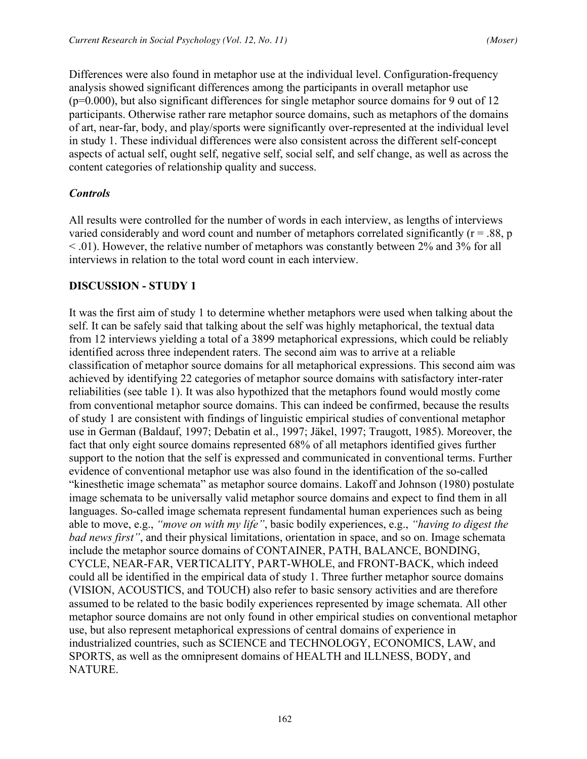Differences were also found in metaphor use at the individual level. Configuration-frequency analysis showed significant differences among the participants in overall metaphor use  $(p=0.000)$ , but also significant differences for single metaphor source domains for 9 out of 12 participants. Otherwise rather rare metaphor source domains, such as metaphors of the domains of art, near-far, body, and play/sports were significantly over-represented at the individual level in study 1. These individual differences were also consistent across the different self-concept aspects of actual self, ought self, negative self, social self, and self change, as well as across the content categories of relationship quality and success.

## *Controls*

All results were controlled for the number of words in each interview, as lengths of interviews varied considerably and word count and number of metaphors correlated significantly ( $r = .88$ ,  $p$ )  $<$  0.01). However, the relative number of metaphors was constantly between 2% and 3% for all interviews in relation to the total word count in each interview.

#### **DISCUSSION - STUDY 1**

It was the first aim of study 1 to determine whether metaphors were used when talking about the self. It can be safely said that talking about the self was highly metaphorical, the textual data from 12 interviews yielding a total of a 3899 metaphorical expressions, which could be reliably identified across three independent raters. The second aim was to arrive at a reliable classification of metaphor source domains for all metaphorical expressions. This second aim was achieved by identifying 22 categories of metaphor source domains with satisfactory inter-rater reliabilities (see table 1). It was also hypothized that the metaphors found would mostly come from conventional metaphor source domains. This can indeed be confirmed, because the results of study 1 are consistent with findings of linguistic empirical studies of conventional metaphor use in German (Baldauf, 1997; Debatin et al., 1997; Jäkel, 1997; Traugott, 1985). Moreover, the fact that only eight source domains represented 68% of all metaphors identified gives further support to the notion that the self is expressed and communicated in conventional terms. Further evidence of conventional metaphor use was also found in the identification of the so-called "kinesthetic image schemata" as metaphor source domains. Lakoff and Johnson (1980) postulate image schemata to be universally valid metaphor source domains and expect to find them in all languages. So-called image schemata represent fundamental human experiences such as being able to move, e.g., *"move on with my life"*, basic bodily experiences, e.g., *"having to digest the bad news first"*, and their physical limitations, orientation in space, and so on. Image schemata include the metaphor source domains of CONTAINER, PATH, BALANCE, BONDING, CYCLE, NEAR-FAR, VERTICALITY, PART-WHOLE, and FRONT-BACK, which indeed could all be identified in the empirical data of study 1. Three further metaphor source domains (VISION, ACOUSTICS, and TOUCH) also refer to basic sensory activities and are therefore assumed to be related to the basic bodily experiences represented by image schemata. All other metaphor source domains are not only found in other empirical studies on conventional metaphor use, but also represent metaphorical expressions of central domains of experience in industrialized countries, such as SCIENCE and TECHNOLOGY, ECONOMICS, LAW, and SPORTS, as well as the omnipresent domains of HEALTH and ILLNESS, BODY, and NATURE.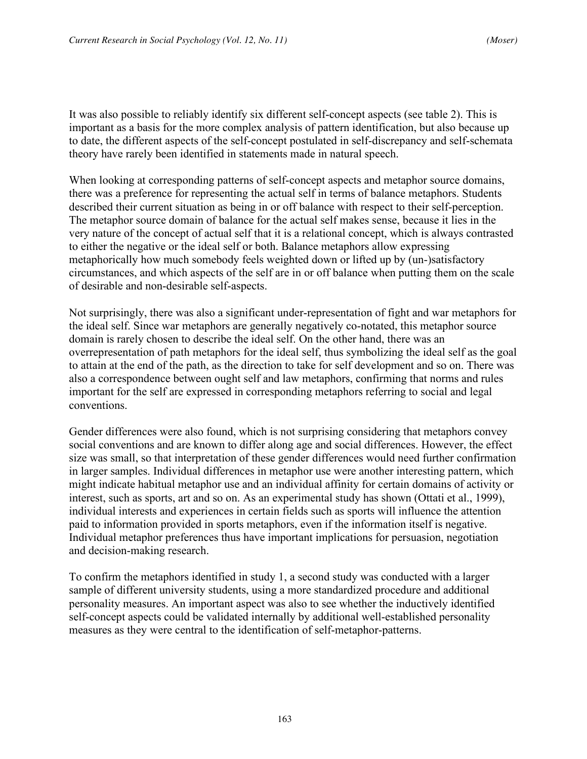It was also possible to reliably identify six different self-concept aspects (see table 2). This is important as a basis for the more complex analysis of pattern identification, but also because up to date, the different aspects of the self-concept postulated in self-discrepancy and self-schemata theory have rarely been identified in statements made in natural speech.

When looking at corresponding patterns of self-concept aspects and metaphor source domains, there was a preference for representing the actual self in terms of balance metaphors. Students described their current situation as being in or off balance with respect to their self-perception. The metaphor source domain of balance for the actual self makes sense, because it lies in the very nature of the concept of actual self that it is a relational concept, which is always contrasted to either the negative or the ideal self or both. Balance metaphors allow expressing metaphorically how much somebody feels weighted down or lifted up by (un-)satisfactory circumstances, and which aspects of the self are in or off balance when putting them on the scale of desirable and non-desirable self-aspects.

Not surprisingly, there was also a significant under-representation of fight and war metaphors for the ideal self. Since war metaphors are generally negatively co-notated, this metaphor source domain is rarely chosen to describe the ideal self. On the other hand, there was an overrepresentation of path metaphors for the ideal self, thus symbolizing the ideal self as the goal to attain at the end of the path, as the direction to take for self development and so on. There was also a correspondence between ought self and law metaphors, confirming that norms and rules important for the self are expressed in corresponding metaphors referring to social and legal conventions.

Gender differences were also found, which is not surprising considering that metaphors convey social conventions and are known to differ along age and social differences. However, the effect size was small, so that interpretation of these gender differences would need further confirmation in larger samples. Individual differences in metaphor use were another interesting pattern, which might indicate habitual metaphor use and an individual affinity for certain domains of activity or interest, such as sports, art and so on. As an experimental study has shown (Ottati et al., 1999), individual interests and experiences in certain fields such as sports will influence the attention paid to information provided in sports metaphors, even if the information itself is negative. Individual metaphor preferences thus have important implications for persuasion, negotiation and decision-making research.

To confirm the metaphors identified in study 1, a second study was conducted with a larger sample of different university students, using a more standardized procedure and additional personality measures. An important aspect was also to see whether the inductively identified self-concept aspects could be validated internally by additional well-established personality measures as they were central to the identification of self-metaphor-patterns.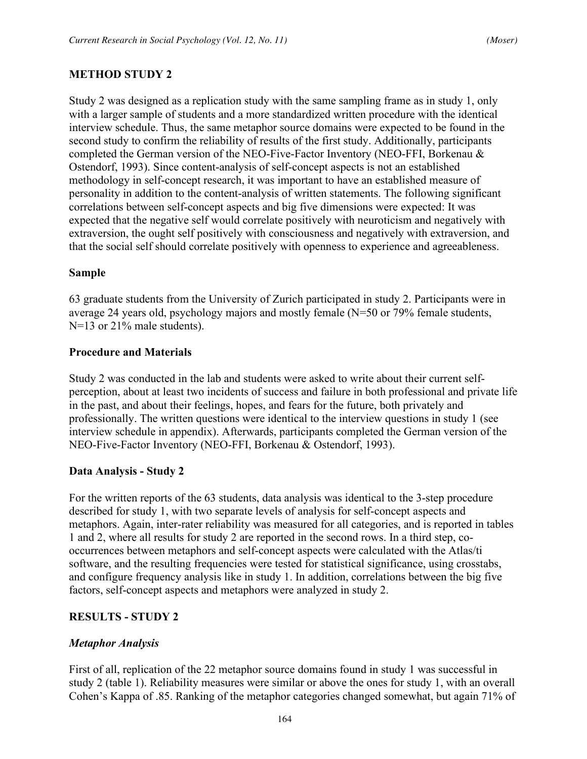## **METHOD STUDY 2**

Study 2 was designed as a replication study with the same sampling frame as in study 1, only with a larger sample of students and a more standardized written procedure with the identical interview schedule. Thus, the same metaphor source domains were expected to be found in the second study to confirm the reliability of results of the first study. Additionally, participants completed the German version of the NEO-Five-Factor Inventory (NEO-FFI, Borkenau & Ostendorf, 1993). Since content-analysis of self-concept aspects is not an established methodology in self-concept research, it was important to have an established measure of personality in addition to the content-analysis of written statements. The following significant correlations between self-concept aspects and big five dimensions were expected: It was expected that the negative self would correlate positively with neuroticism and negatively with extraversion, the ought self positively with consciousness and negatively with extraversion, and that the social self should correlate positively with openness to experience and agreeableness.

#### **Sample**

63 graduate students from the University of Zurich participated in study 2. Participants were in average 24 years old, psychology majors and mostly female (N=50 or 79% female students, N=13 or 21% male students).

#### **Procedure and Materials**

Study 2 was conducted in the lab and students were asked to write about their current selfperception, about at least two incidents of success and failure in both professional and private life in the past, and about their feelings, hopes, and fears for the future, both privately and professionally. The written questions were identical to the interview questions in study 1 (see interview schedule in appendix). Afterwards, participants completed the German version of the NEO-Five-Factor Inventory (NEO-FFI, Borkenau & Ostendorf, 1993).

#### **Data Analysis - Study 2**

For the written reports of the 63 students, data analysis was identical to the 3-step procedure described for study 1, with two separate levels of analysis for self-concept aspects and metaphors. Again, inter-rater reliability was measured for all categories, and is reported in tables 1 and 2, where all results for study 2 are reported in the second rows. In a third step, cooccurrences between metaphors and self-concept aspects were calculated with the Atlas/ti software, and the resulting frequencies were tested for statistical significance, using crosstabs, and configure frequency analysis like in study 1. In addition, correlations between the big five factors, self-concept aspects and metaphors were analyzed in study 2.

# **RESULTS - STUDY 2**

# *Metaphor Analysis*

First of all, replication of the 22 metaphor source domains found in study 1 was successful in study 2 (table 1). Reliability measures were similar or above the ones for study 1, with an overall Cohen's Kappa of .85. Ranking of the metaphor categories changed somewhat, but again 71% of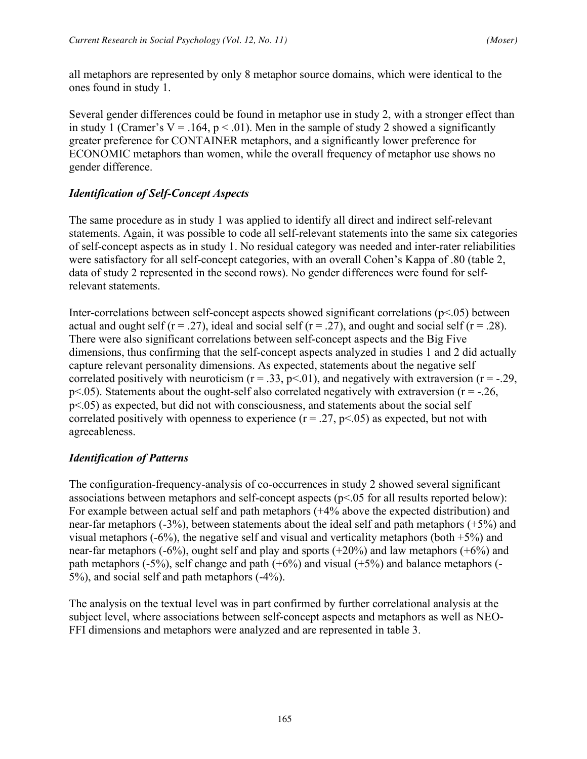all metaphors are represented by only 8 metaphor source domains, which were identical to the ones found in study 1.

Several gender differences could be found in metaphor use in study 2, with a stronger effect than in study 1 (Cramer's  $V = .164$ ,  $p < .01$ ). Men in the sample of study 2 showed a significantly greater preference for CONTAINER metaphors, and a significantly lower preference for ECONOMIC metaphors than women, while the overall frequency of metaphor use shows no gender difference.

# *Identification of Self-Concept Aspects*

The same procedure as in study 1 was applied to identify all direct and indirect self-relevant statements. Again, it was possible to code all self-relevant statements into the same six categories of self-concept aspects as in study 1. No residual category was needed and inter-rater reliabilities were satisfactory for all self-concept categories, with an overall Cohen's Kappa of .80 (table 2, data of study 2 represented in the second rows). No gender differences were found for selfrelevant statements.

Inter-correlations between self-concept aspects showed significant correlations (p<.05) between actual and ought self ( $r = .27$ ), ideal and social self ( $r = .27$ ), and ought and social self ( $r = .28$ ). There were also significant correlations between self-concept aspects and the Big Five dimensions, thus confirming that the self-concept aspects analyzed in studies 1 and 2 did actually capture relevant personality dimensions. As expected, statements about the negative self correlated positively with neuroticism  $(r = .33, p < .01)$ , and negatively with extraversion  $(r = .29,$  $p$ <.05). Statements about the ought-self also correlated negatively with extraversion ( $r = -0.26$ , p<.05) as expected, but did not with consciousness, and statements about the social self correlated positively with openness to experience  $(r = .27, p < .05)$  as expected, but not with agreeableness.

# *Identification of Patterns*

The configuration-frequency-analysis of co-occurrences in study 2 showed several significant associations between metaphors and self-concept aspects (p<.05 for all results reported below): For example between actual self and path metaphors (+4% above the expected distribution) and near-far metaphors (-3%), between statements about the ideal self and path metaphors (+5%) and visual metaphors  $(-6%)$ , the negative self and visual and verticality metaphors (both  $+5%$ ) and near-far metaphors  $(-6%)$ , ought self and play and sports  $(+20%)$  and law metaphors  $(+6%)$  and path metaphors (-5%), self change and path  $(+6%)$  and visual  $(+5%)$  and balance metaphors (-5%), and social self and path metaphors (-4%).

The analysis on the textual level was in part confirmed by further correlational analysis at the subject level, where associations between self-concept aspects and metaphors as well as NEO-FFI dimensions and metaphors were analyzed and are represented in table 3.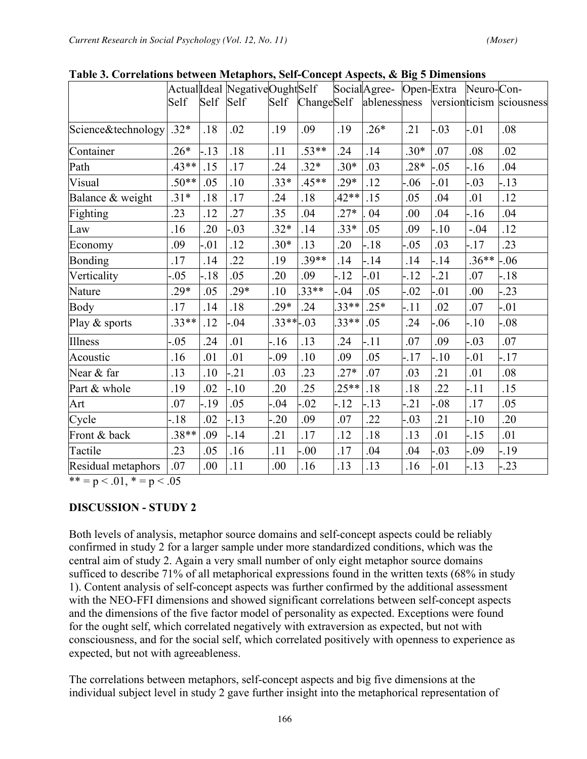| Table 5. Cui relations between intelaptions, Self-Concept Aspects, & Dig 5 Dimensions |         |         |                               |             |            |         |                                    |         |         |         |                           |
|---------------------------------------------------------------------------------------|---------|---------|-------------------------------|-------------|------------|---------|------------------------------------|---------|---------|---------|---------------------------|
|                                                                                       |         |         | ActualIdeal NegativeOughtSelf |             |            |         | SocialAgree- Open-Extra Neuro-Con- |         |         |         |                           |
|                                                                                       | Self    | Self    | Self                          | Self        | ChangeSelf |         | ablenessness                       |         |         |         | version ticism sciousness |
|                                                                                       |         |         |                               |             |            |         |                                    |         |         |         |                           |
| Science&technology                                                                    | $.32*$  | .18     | .02                           | .19         | .09        | .19     | $.26*$                             | .21     | $-.03$  | $-0.01$ | .08                       |
| Container                                                                             | $.26*$  | $-13$   | .18                           | .11         | $.53**$    | .24     | .14                                | $.30*$  | .07     | .08     | .02                       |
| Path                                                                                  | $.43**$ | .15     | .17                           | .24         | $.32*$     | $.30*$  | .03                                | $.28*$  | $-.05$  | $-16$   | .04                       |
| Visual                                                                                | $.50**$ | .05     | .10                           | $.33*$      | $.45**$    | $.29*$  | .12                                | $-06$   | $-01$   | $-0.03$ | $-13$                     |
| Balance & weight                                                                      | $.31*$  | .18     | .17                           | .24         | .18        | $42**$  | .15                                | .05     | .04     | .01     | .12                       |
| Fighting                                                                              | .23     | .12     | .27                           | .35         | .04        | $.27*$  | 04                                 | .00     | .04     | $-16$   | .04                       |
| Law                                                                                   | .16     | .20     | .03                           | $.32*$      | .14        | $.33*$  | .05                                | .09     | $-10$   | $-.04$  | .12                       |
| Economy                                                                               | .09     | $-0.01$ | .12                           | $.30*$      | .13        | .20     | $-18$                              | $-0.05$ | .03     | $-17$   | .23                       |
| <b>Bonding</b>                                                                        | .17     | .14     | .22                           | .19         | $.39**$    | .14     | $-14$                              | .14     | $-14$   | $.36**$ | $-06$                     |
| Verticality                                                                           | $-0.05$ | $-18$   | .05                           | .20         | .09        | $-12$   | $-01$                              | $-12$   | $-21$   | .07     | $-18$                     |
| Nature                                                                                | .29*    | .05     | $29*$                         | .10         | 33**       | $-0.04$ | .05                                | $-0.02$ | $-01$   | .00     | $-0.23$                   |
| Body                                                                                  | .17     | .14     | .18                           | $.29*$      | .24        | $33***$ | $.25*$                             | $-11$   | .02     | .07     | $-.01$                    |
| Play & sports                                                                         | $.33**$ | .12     | $-04$                         | $.33**-.03$ |            | 33**    | .05                                | .24     | $-06$   | $-10$   | $-0.08$                   |
| <b>Illness</b>                                                                        | $-0.05$ | .24     | .01                           | $-16$       | .13        | .24     | $-11$                              | .07     | .09     | $-0.03$ | .07                       |
| Acoustic                                                                              | .16     | .01     | .01                           | -.09        | .10        | .09     | .05                                | $-17$   | $-10$   | $-0.01$ | $-17$                     |
| Near & far                                                                            | .13     | .10     | .21                           | .03         | 23         | $.27*$  | .07                                | .03     | .21     | .01     | .08 <sub>0</sub>          |
| Part & whole                                                                          | .19     | .02     | $-10$                         | .20         | 25         | $25**$  | .18                                | .18     | .22     | $-11$   | .15                       |
| Art                                                                                   | .07     | -.19    | .05                           | -.04        | $-0.02$    | $-12$   | $-13$                              | $-21$   | $-08$   | .17     | .05                       |
| Cycle                                                                                 | $-18$   | .02     | $-13$                         | $-20$       | .09        | .07     | 22                                 | $-0.03$ | .21     | $-10$   | .20                       |
| Front & back                                                                          | $.38**$ | .09     | $-14$                         | .21         | .17        | .12     | .18                                | .13     | .01     | $-15$   | .01                       |
| Tactile                                                                               | 23      | .05     | .16                           | .11         | $-00.$     | .17     | .04                                | .04     | $-0.03$ | -.09    | $-19$                     |
| Residual metaphors                                                                    | .07     | .00     | .11                           | .00         | .16        | .13     | .13                                | .16     | $-0.01$ | $-13$   | $-0.23$                   |

**Table 3. Correlations between Metaphors, Self-Concept Aspects, & Big 5 Dimensions**

\*\* = p < .01, \* = p < .05

# **DISCUSSION - STUDY 2**

Both levels of analysis, metaphor source domains and self-concept aspects could be reliably confirmed in study 2 for a larger sample under more standardized conditions, which was the central aim of study 2. Again a very small number of only eight metaphor source domains sufficed to describe 71% of all metaphorical expressions found in the written texts (68% in study 1). Content analysis of self-concept aspects was further confirmed by the additional assessment with the NEO-FFI dimensions and showed significant correlations between self-concept aspects and the dimensions of the five factor model of personality as expected. Exceptions were found for the ought self, which correlated negatively with extraversion as expected, but not with consciousness, and for the social self, which correlated positively with openness to experience as expected, but not with agreeableness.

The correlations between metaphors, self-concept aspects and big five dimensions at the individual subject level in study 2 gave further insight into the metaphorical representation of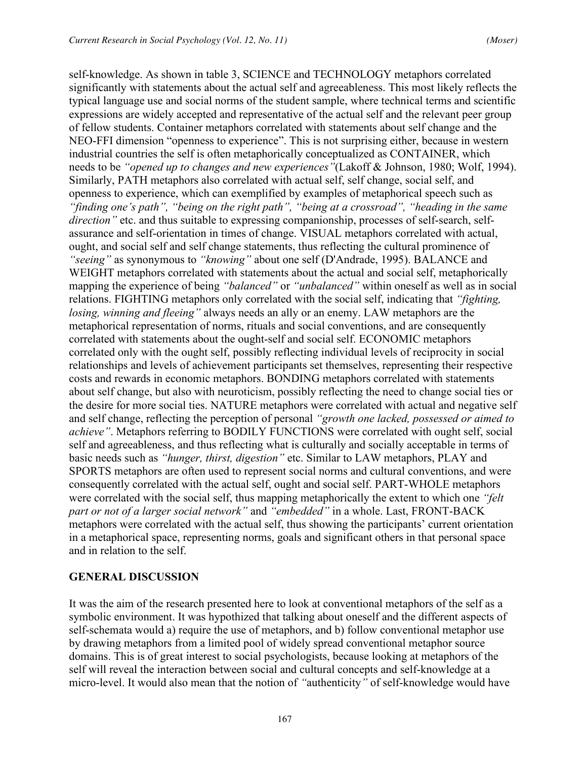self-knowledge. As shown in table 3, SCIENCE and TECHNOLOGY metaphors correlated significantly with statements about the actual self and agreeableness. This most likely reflects the typical language use and social norms of the student sample, where technical terms and scientific expressions are widely accepted and representative of the actual self and the relevant peer group of fellow students. Container metaphors correlated with statements about self change and the NEO-FFI dimension "openness to experience". This is not surprising either, because in western industrial countries the self is often metaphorically conceptualized as CONTAINER, which needs to be *"opened up to changes and new experiences"*(Lakoff & Johnson, 1980; Wolf, 1994). Similarly, PATH metaphors also correlated with actual self, self change, social self, and openness to experience, which can exemplified by examples of metaphorical speech such as *"finding one's path", "being on the right path", "being at a crossroad", "heading in the same direction*" etc. and thus suitable to expressing companionship, processes of self-search, selfassurance and self-orientation in times of change. VISUAL metaphors correlated with actual, ought, and social self and self change statements, thus reflecting the cultural prominence of *"seeing"* as synonymous to *"knowing"* about one self (D'Andrade, 1995). BALANCE and WEIGHT metaphors correlated with statements about the actual and social self, metaphorically mapping the experience of being *"balanced"* or *"unbalanced"* within oneself as well as in social relations. FIGHTING metaphors only correlated with the social self, indicating that *"fighting, losing, winning and fleeing"* always needs an ally or an enemy. LAW metaphors are the metaphorical representation of norms, rituals and social conventions, and are consequently correlated with statements about the ought-self and social self. ECONOMIC metaphors correlated only with the ought self, possibly reflecting individual levels of reciprocity in social relationships and levels of achievement participants set themselves, representing their respective costs and rewards in economic metaphors. BONDING metaphors correlated with statements about self change, but also with neuroticism, possibly reflecting the need to change social ties or the desire for more social ties. NATURE metaphors were correlated with actual and negative self and self change, reflecting the perception of personal *"growth one lacked, possessed or aimed to achieve"*. Metaphors referring to BODILY FUNCTIONS were correlated with ought self, social self and agreeableness, and thus reflecting what is culturally and socially acceptable in terms of basic needs such as *"hunger, thirst, digestion"* etc. Similar to LAW metaphors, PLAY and SPORTS metaphors are often used to represent social norms and cultural conventions, and were consequently correlated with the actual self, ought and social self. PART-WHOLE metaphors were correlated with the social self, thus mapping metaphorically the extent to which one *"felt part or not of a larger social network"* and *"embedded"* in a whole. Last, FRONT-BACK metaphors were correlated with the actual self, thus showing the participants' current orientation in a metaphorical space, representing norms, goals and significant others in that personal space and in relation to the self.

# **GENERAL DISCUSSION**

It was the aim of the research presented here to look at conventional metaphors of the self as a symbolic environment. It was hypothized that talking about oneself and the different aspects of self-schemata would a) require the use of metaphors, and b) follow conventional metaphor use by drawing metaphors from a limited pool of widely spread conventional metaphor source domains. This is of great interest to social psychologists, because looking at metaphors of the self will reveal the interaction between social and cultural concepts and self-knowledge at a micro-level. It would also mean that the notion of *"*authenticity*"* of self-knowledge would have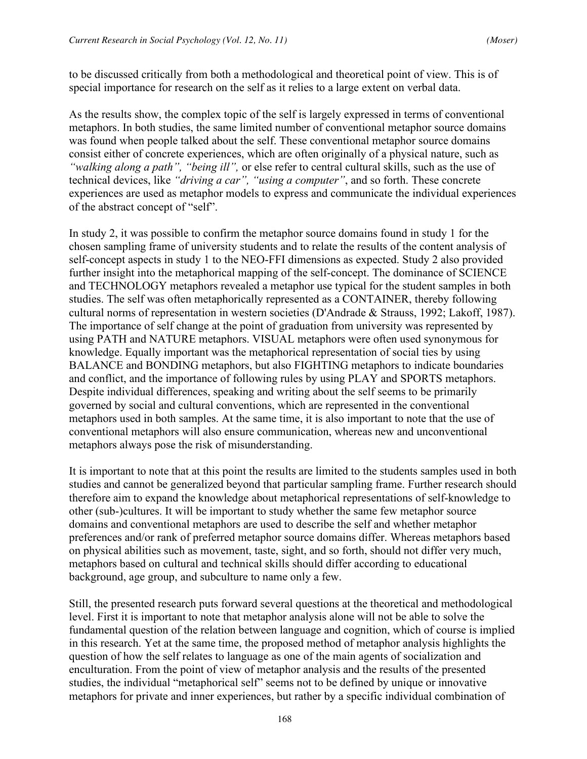to be discussed critically from both a methodological and theoretical point of view. This is of special importance for research on the self as it relies to a large extent on verbal data.

As the results show, the complex topic of the self is largely expressed in terms of conventional metaphors. In both studies, the same limited number of conventional metaphor source domains was found when people talked about the self. These conventional metaphor source domains consist either of concrete experiences, which are often originally of a physical nature, such as *"walking along a path", "being ill",* or else refer to central cultural skills, such as the use of technical devices, like *"driving a car", "using a computer"*, and so forth. These concrete experiences are used as metaphor models to express and communicate the individual experiences of the abstract concept of "self".

In study 2, it was possible to confirm the metaphor source domains found in study 1 for the chosen sampling frame of university students and to relate the results of the content analysis of self-concept aspects in study 1 to the NEO-FFI dimensions as expected. Study 2 also provided further insight into the metaphorical mapping of the self-concept. The dominance of SCIENCE and TECHNOLOGY metaphors revealed a metaphor use typical for the student samples in both studies. The self was often metaphorically represented as a CONTAINER, thereby following cultural norms of representation in western societies (D'Andrade & Strauss, 1992; Lakoff, 1987). The importance of self change at the point of graduation from university was represented by using PATH and NATURE metaphors. VISUAL metaphors were often used synonymous for knowledge. Equally important was the metaphorical representation of social ties by using BALANCE and BONDING metaphors, but also FIGHTING metaphors to indicate boundaries and conflict, and the importance of following rules by using PLAY and SPORTS metaphors. Despite individual differences, speaking and writing about the self seems to be primarily governed by social and cultural conventions, which are represented in the conventional metaphors used in both samples. At the same time, it is also important to note that the use of conventional metaphors will also ensure communication, whereas new and unconventional metaphors always pose the risk of misunderstanding.

It is important to note that at this point the results are limited to the students samples used in both studies and cannot be generalized beyond that particular sampling frame. Further research should therefore aim to expand the knowledge about metaphorical representations of self-knowledge to other (sub-)cultures. It will be important to study whether the same few metaphor source domains and conventional metaphors are used to describe the self and whether metaphor preferences and/or rank of preferred metaphor source domains differ. Whereas metaphors based on physical abilities such as movement, taste, sight, and so forth, should not differ very much, metaphors based on cultural and technical skills should differ according to educational background, age group, and subculture to name only a few.

Still, the presented research puts forward several questions at the theoretical and methodological level. First it is important to note that metaphor analysis alone will not be able to solve the fundamental question of the relation between language and cognition, which of course is implied in this research. Yet at the same time, the proposed method of metaphor analysis highlights the question of how the self relates to language as one of the main agents of socialization and enculturation. From the point of view of metaphor analysis and the results of the presented studies, the individual "metaphorical self" seems not to be defined by unique or innovative metaphors for private and inner experiences, but rather by a specific individual combination of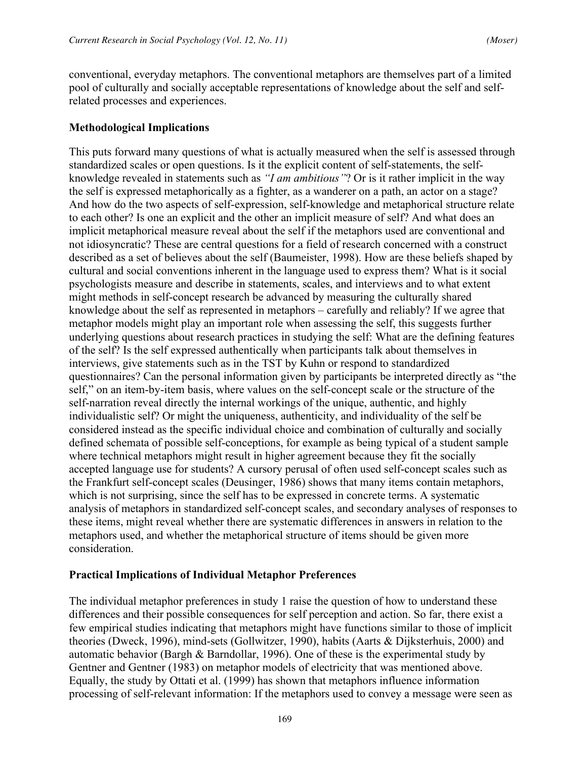conventional, everyday metaphors. The conventional metaphors are themselves part of a limited pool of culturally and socially acceptable representations of knowledge about the self and selfrelated processes and experiences.

## **Methodological Implications**

This puts forward many questions of what is actually measured when the self is assessed through standardized scales or open questions. Is it the explicit content of self-statements, the selfknowledge revealed in statements such as *"I am ambitious"*? Or is it rather implicit in the way the self is expressed metaphorically as a fighter, as a wanderer on a path, an actor on a stage? And how do the two aspects of self-expression, self-knowledge and metaphorical structure relate to each other? Is one an explicit and the other an implicit measure of self? And what does an implicit metaphorical measure reveal about the self if the metaphors used are conventional and not idiosyncratic? These are central questions for a field of research concerned with a construct described as a set of believes about the self (Baumeister, 1998). How are these beliefs shaped by cultural and social conventions inherent in the language used to express them? What is it social psychologists measure and describe in statements, scales, and interviews and to what extent might methods in self-concept research be advanced by measuring the culturally shared knowledge about the self as represented in metaphors – carefully and reliably? If we agree that metaphor models might play an important role when assessing the self, this suggests further underlying questions about research practices in studying the self: What are the defining features of the self? Is the self expressed authentically when participants talk about themselves in interviews, give statements such as in the TST by Kuhn or respond to standardized questionnaires? Can the personal information given by participants be interpreted directly as "the self," on an item-by-item basis, where values on the self-concept scale or the structure of the self-narration reveal directly the internal workings of the unique, authentic, and highly individualistic self? Or might the uniqueness, authenticity, and individuality of the self be considered instead as the specific individual choice and combination of culturally and socially defined schemata of possible self-conceptions, for example as being typical of a student sample where technical metaphors might result in higher agreement because they fit the socially accepted language use for students? A cursory perusal of often used self-concept scales such as the Frankfurt self-concept scales (Deusinger, 1986) shows that many items contain metaphors, which is not surprising, since the self has to be expressed in concrete terms. A systematic analysis of metaphors in standardized self-concept scales, and secondary analyses of responses to these items, might reveal whether there are systematic differences in answers in relation to the metaphors used, and whether the metaphorical structure of items should be given more consideration.

#### **Practical Implications of Individual Metaphor Preferences**

The individual metaphor preferences in study 1 raise the question of how to understand these differences and their possible consequences for self perception and action. So far, there exist a few empirical studies indicating that metaphors might have functions similar to those of implicit theories (Dweck, 1996), mind-sets (Gollwitzer, 1990), habits (Aarts & Dijksterhuis, 2000) and automatic behavior (Bargh & Barndollar, 1996). One of these is the experimental study by Gentner and Gentner (1983) on metaphor models of electricity that was mentioned above. Equally, the study by Ottati et al. (1999) has shown that metaphors influence information processing of self-relevant information: If the metaphors used to convey a message were seen as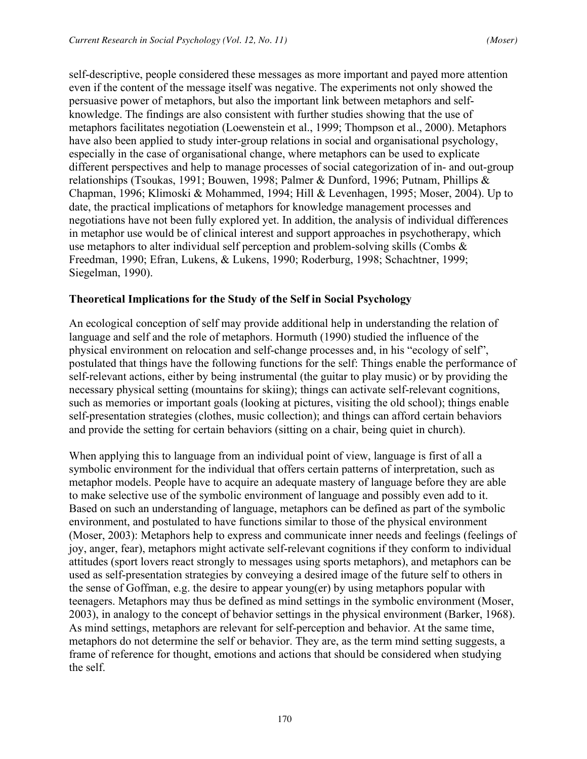self-descriptive, people considered these messages as more important and payed more attention even if the content of the message itself was negative. The experiments not only showed the persuasive power of metaphors, but also the important link between metaphors and selfknowledge. The findings are also consistent with further studies showing that the use of metaphors facilitates negotiation (Loewenstein et al., 1999; Thompson et al., 2000). Metaphors have also been applied to study inter-group relations in social and organisational psychology, especially in the case of organisational change, where metaphors can be used to explicate different perspectives and help to manage processes of social categorization of in- and out-group relationships (Tsoukas, 1991; Bouwen, 1998; Palmer & Dunford, 1996; Putnam, Phillips & Chapman, 1996; Klimoski & Mohammed, 1994; Hill & Levenhagen, 1995; Moser, 2004). Up to date, the practical implications of metaphors for knowledge management processes and negotiations have not been fully explored yet. In addition, the analysis of individual differences in metaphor use would be of clinical interest and support approaches in psychotherapy, which use metaphors to alter individual self perception and problem-solving skills (Combs & Freedman, 1990; Efran, Lukens, & Lukens, 1990; Roderburg, 1998; Schachtner, 1999; Siegelman, 1990).

#### **Theoretical Implications for the Study of the Self in Social Psychology**

An ecological conception of self may provide additional help in understanding the relation of language and self and the role of metaphors. Hormuth (1990) studied the influence of the physical environment on relocation and self-change processes and, in his "ecology of self", postulated that things have the following functions for the self: Things enable the performance of self-relevant actions, either by being instrumental (the guitar to play music) or by providing the necessary physical setting (mountains for skiing); things can activate self-relevant cognitions, such as memories or important goals (looking at pictures, visiting the old school); things enable self-presentation strategies (clothes, music collection); and things can afford certain behaviors and provide the setting for certain behaviors (sitting on a chair, being quiet in church).

When applying this to language from an individual point of view, language is first of all a symbolic environment for the individual that offers certain patterns of interpretation, such as metaphor models. People have to acquire an adequate mastery of language before they are able to make selective use of the symbolic environment of language and possibly even add to it. Based on such an understanding of language, metaphors can be defined as part of the symbolic environment, and postulated to have functions similar to those of the physical environment (Moser, 2003): Metaphors help to express and communicate inner needs and feelings (feelings of joy, anger, fear), metaphors might activate self-relevant cognitions if they conform to individual attitudes (sport lovers react strongly to messages using sports metaphors), and metaphors can be used as self-presentation strategies by conveying a desired image of the future self to others in the sense of Goffman, e.g. the desire to appear young(er) by using metaphors popular with teenagers. Metaphors may thus be defined as mind settings in the symbolic environment (Moser, 2003), in analogy to the concept of behavior settings in the physical environment (Barker, 1968). As mind settings, metaphors are relevant for self-perception and behavior. At the same time, metaphors do not determine the self or behavior. They are, as the term mind setting suggests, a frame of reference for thought, emotions and actions that should be considered when studying the self.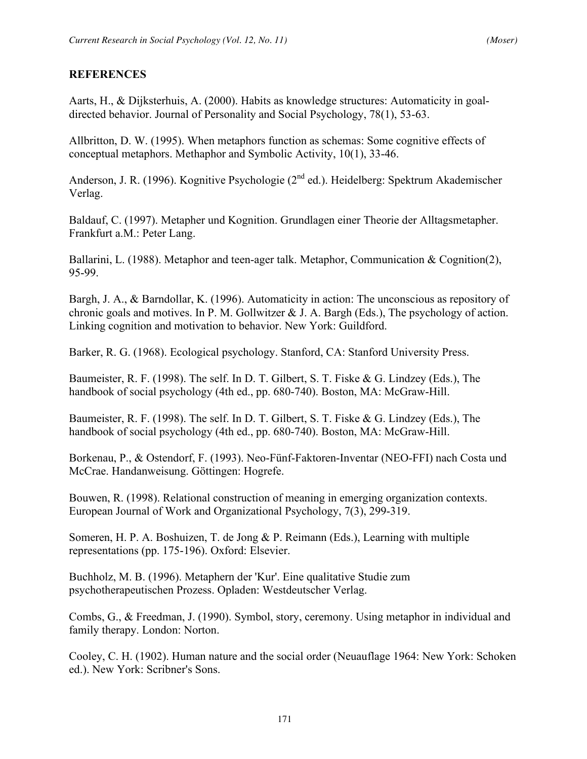# **REFERENCES**

Aarts, H., & Dijksterhuis, A. (2000). Habits as knowledge structures: Automaticity in goaldirected behavior. Journal of Personality and Social Psychology, 78(1), 53-63.

Allbritton, D. W. (1995). When metaphors function as schemas: Some cognitive effects of conceptual metaphors. Methaphor and Symbolic Activity, 10(1), 33-46.

Anderson, J. R. (1996). Kognitive Psychologie (2<sup>nd</sup> ed.). Heidelberg: Spektrum Akademischer Verlag.

Baldauf, C. (1997). Metapher und Kognition. Grundlagen einer Theorie der Alltagsmetapher. Frankfurt a.M.: Peter Lang.

Ballarini, L. (1988). Metaphor and teen-ager talk. Metaphor, Communication & Cognition(2), 95-99.

Bargh, J. A., & Barndollar, K. (1996). Automaticity in action: The unconscious as repository of chronic goals and motives. In P. M. Gollwitzer  $& J. A.$  Bargh (Eds.), The psychology of action. Linking cognition and motivation to behavior. New York: Guildford.

Barker, R. G. (1968). Ecological psychology. Stanford, CA: Stanford University Press.

Baumeister, R. F. (1998). The self. In D. T. Gilbert, S. T. Fiske & G. Lindzey (Eds.), The handbook of social psychology (4th ed., pp. 680-740). Boston, MA: McGraw-Hill.

Baumeister, R. F. (1998). The self. In D. T. Gilbert, S. T. Fiske & G. Lindzey (Eds.), The handbook of social psychology (4th ed., pp. 680-740). Boston, MA: McGraw-Hill.

Borkenau, P., & Ostendorf, F. (1993). Neo-Fünf-Faktoren-Inventar (NEO-FFI) nach Costa und McCrae. Handanweisung. Göttingen: Hogrefe.

Bouwen, R. (1998). Relational construction of meaning in emerging organization contexts. European Journal of Work and Organizational Psychology, 7(3), 299-319.

Someren, H. P. A. Boshuizen, T. de Jong & P. Reimann (Eds.), Learning with multiple representations (pp. 175-196). Oxford: Elsevier.

Buchholz, M. B. (1996). Metaphern der 'Kur'. Eine qualitative Studie zum psychotherapeutischen Prozess. Opladen: Westdeutscher Verlag.

Combs, G., & Freedman, J. (1990). Symbol, story, ceremony. Using metaphor in individual and family therapy. London: Norton.

Cooley, C. H. (1902). Human nature and the social order (Neuauflage 1964: New York: Schoken ed.). New York: Scribner's Sons.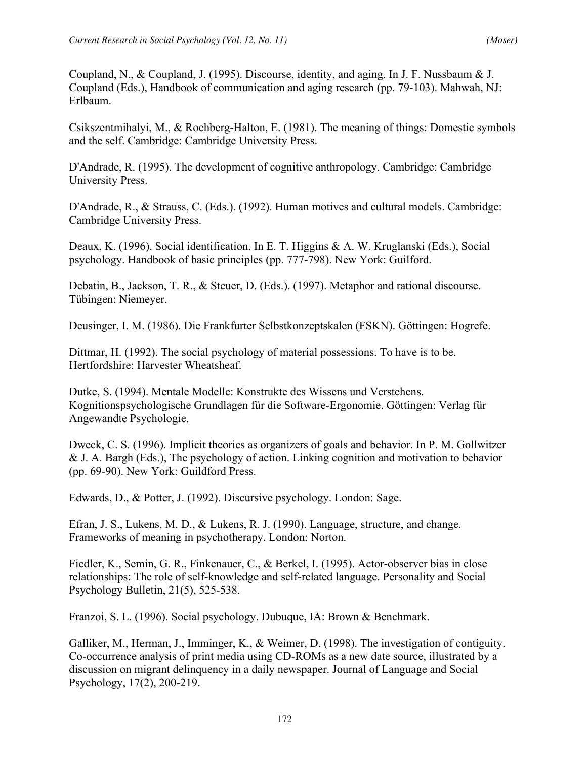Coupland, N., & Coupland, J. (1995). Discourse, identity, and aging. In J. F. Nussbaum & J. Coupland (Eds.), Handbook of communication and aging research (pp. 79-103). Mahwah, NJ: Erlbaum.

Csikszentmihalyi, M., & Rochberg-Halton, E. (1981). The meaning of things: Domestic symbols and the self. Cambridge: Cambridge University Press.

D'Andrade, R. (1995). The development of cognitive anthropology. Cambridge: Cambridge University Press.

D'Andrade, R., & Strauss, C. (Eds.). (1992). Human motives and cultural models. Cambridge: Cambridge University Press.

Deaux, K. (1996). Social identification. In E. T. Higgins & A. W. Kruglanski (Eds.), Social psychology. Handbook of basic principles (pp. 777-798). New York: Guilford.

Debatin, B., Jackson, T. R., & Steuer, D. (Eds.). (1997). Metaphor and rational discourse. Tübingen: Niemeyer.

Deusinger, I. M. (1986). Die Frankfurter Selbstkonzeptskalen (FSKN). Göttingen: Hogrefe.

Dittmar, H. (1992). The social psychology of material possessions. To have is to be. Hertfordshire: Harvester Wheatsheaf.

Dutke, S. (1994). Mentale Modelle: Konstrukte des Wissens und Verstehens. Kognitionspsychologische Grundlagen für die Software-Ergonomie. Göttingen: Verlag für Angewandte Psychologie.

Dweck, C. S. (1996). Implicit theories as organizers of goals and behavior. In P. M. Gollwitzer & J. A. Bargh (Eds.), The psychology of action. Linking cognition and motivation to behavior (pp. 69-90). New York: Guildford Press.

Edwards, D., & Potter, J. (1992). Discursive psychology. London: Sage.

Efran, J. S., Lukens, M. D., & Lukens, R. J. (1990). Language, structure, and change. Frameworks of meaning in psychotherapy. London: Norton.

Fiedler, K., Semin, G. R., Finkenauer, C., & Berkel, I. (1995). Actor-observer bias in close relationships: The role of self-knowledge and self-related language. Personality and Social Psychology Bulletin, 21(5), 525-538.

Franzoi, S. L. (1996). Social psychology. Dubuque, IA: Brown & Benchmark.

Galliker, M., Herman, J., Imminger, K., & Weimer, D. (1998). The investigation of contiguity. Co-occurrence analysis of print media using CD-ROMs as a new date source, illustrated by a discussion on migrant delinquency in a daily newspaper. Journal of Language and Social Psychology, 17(2), 200-219.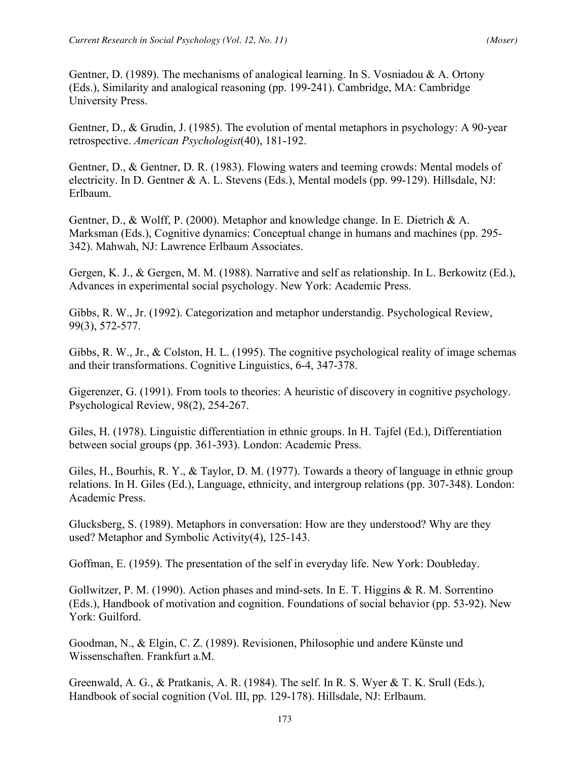Gentner, D. (1989). The mechanisms of analogical learning. In S. Vosniadou  $\& A$ . Ortony (Eds.), Similarity and analogical reasoning (pp. 199-241). Cambridge, MA: Cambridge University Press.

Gentner, D., & Grudin, J. (1985). The evolution of mental metaphors in psychology: A 90-year retrospective. *American Psychologist*(40), 181-192.

Gentner, D., & Gentner, D. R. (1983). Flowing waters and teeming crowds: Mental models of electricity. In D. Gentner & A. L. Stevens (Eds.), Mental models (pp. 99-129). Hillsdale, NJ: Erlbaum.

Gentner, D., & Wolff, P. (2000). Metaphor and knowledge change. In E. Dietrich & A. Marksman (Eds.), Cognitive dynamics: Conceptual change in humans and machines (pp. 295- 342). Mahwah, NJ: Lawrence Erlbaum Associates.

Gergen, K. J., & Gergen, M. M. (1988). Narrative and self as relationship. In L. Berkowitz (Ed.), Advances in experimental social psychology. New York: Academic Press.

Gibbs, R. W., Jr. (1992). Categorization and metaphor understandig. Psychological Review, 99(3), 572-577.

Gibbs, R. W., Jr., & Colston, H. L. (1995). The cognitive psychological reality of image schemas and their transformations. Cognitive Linguistics, 6-4, 347-378.

Gigerenzer, G. (1991). From tools to theories: A heuristic of discovery in cognitive psychology. Psychological Review, 98(2), 254-267.

Giles, H. (1978). Linguistic differentiation in ethnic groups. In H. Tajfel (Ed.), Differentiation between social groups (pp. 361-393). London: Academic Press.

Giles, H., Bourhis, R. Y., & Taylor, D. M. (1977). Towards a theory of language in ethnic group relations. In H. Giles (Ed.), Language, ethnicity, and intergroup relations (pp. 307-348). London: Academic Press.

Glucksberg, S. (1989). Metaphors in conversation: How are they understood? Why are they used? Metaphor and Symbolic Activity(4), 125-143.

Goffman, E. (1959). The presentation of the self in everyday life. New York: Doubleday.

Gollwitzer, P. M. (1990). Action phases and mind-sets. In E. T. Higgins & R. M. Sorrentino (Eds.), Handbook of motivation and cognition. Foundations of social behavior (pp. 53-92). New York: Guilford.

Goodman, N., & Elgin, C. Z. (1989). Revisionen, Philosophie und andere Künste und Wissenschaften. Frankfurt a.M.

Greenwald, A. G., & Pratkanis, A. R. (1984). The self. In R. S. Wyer & T. K. Srull (Eds.), Handbook of social cognition (Vol. III, pp. 129-178). Hillsdale, NJ: Erlbaum.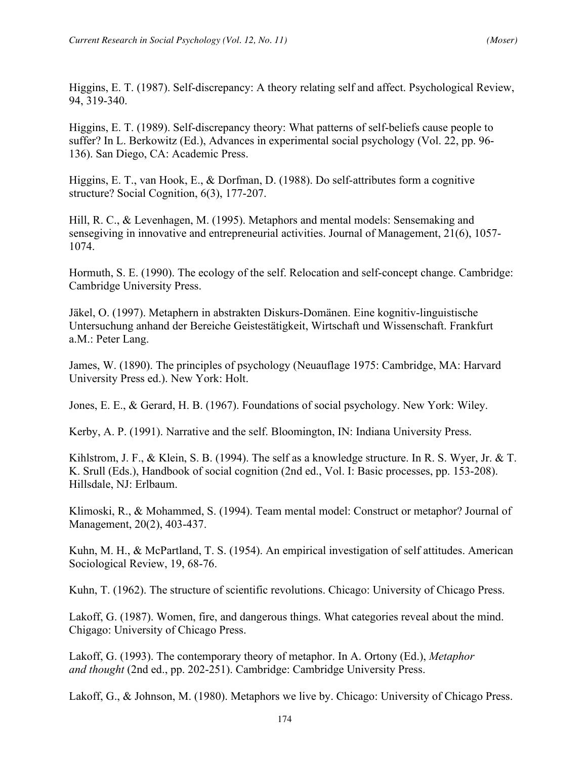Higgins, E. T. (1987). Self-discrepancy: A theory relating self and affect. Psychological Review, 94, 319-340.

Higgins, E. T. (1989). Self-discrepancy theory: What patterns of self-beliefs cause people to suffer? In L. Berkowitz (Ed.), Advances in experimental social psychology (Vol. 22, pp. 96- 136). San Diego, CA: Academic Press.

Higgins, E. T., van Hook, E., & Dorfman, D. (1988). Do self-attributes form a cognitive structure? Social Cognition, 6(3), 177-207.

Hill, R. C., & Levenhagen, M. (1995). Metaphors and mental models: Sensemaking and sensegiving in innovative and entrepreneurial activities. Journal of Management, 21(6), 1057- 1074.

Hormuth, S. E. (1990). The ecology of the self. Relocation and self-concept change. Cambridge: Cambridge University Press.

Jäkel, O. (1997). Metaphern in abstrakten Diskurs-Domänen. Eine kognitiv-linguistische Untersuchung anhand der Bereiche Geistestätigkeit, Wirtschaft und Wissenschaft. Frankfurt a.M.: Peter Lang.

James, W. (1890). The principles of psychology (Neuauflage 1975: Cambridge, MA: Harvard University Press ed.). New York: Holt.

Jones, E. E., & Gerard, H. B. (1967). Foundations of social psychology. New York: Wiley.

Kerby, A. P. (1991). Narrative and the self. Bloomington, IN: Indiana University Press.

Kihlstrom, J. F., & Klein, S. B. (1994). The self as a knowledge structure. In R. S. Wyer, Jr. & T. K. Srull (Eds.), Handbook of social cognition (2nd ed., Vol. I: Basic processes, pp. 153-208). Hillsdale, NJ: Erlbaum.

Klimoski, R., & Mohammed, S. (1994). Team mental model: Construct or metaphor? Journal of Management, 20(2), 403-437.

Kuhn, M. H., & McPartland, T. S. (1954). An empirical investigation of self attitudes. American Sociological Review, 19, 68-76.

Kuhn, T. (1962). The structure of scientific revolutions. Chicago: University of Chicago Press.

Lakoff, G. (1987). Women, fire, and dangerous things. What categories reveal about the mind. Chigago: University of Chicago Press.

Lakoff, G. (1993). The contemporary theory of metaphor. In A. Ortony (Ed.), *Metaphor and thought* (2nd ed., pp. 202-251). Cambridge: Cambridge University Press.

Lakoff, G., & Johnson, M. (1980). Metaphors we live by. Chicago: University of Chicago Press.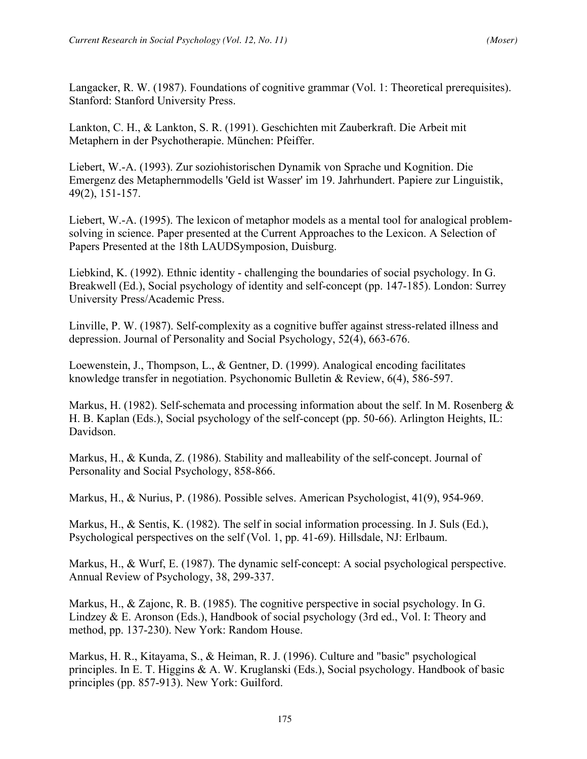Langacker, R. W. (1987). Foundations of cognitive grammar (Vol. 1: Theoretical prerequisites). Stanford: Stanford University Press.

Lankton, C. H., & Lankton, S. R. (1991). Geschichten mit Zauberkraft. Die Arbeit mit Metaphern in der Psychotherapie. München: Pfeiffer.

Liebert, W.-A. (1993). Zur soziohistorischen Dynamik von Sprache und Kognition. Die Emergenz des Metaphernmodells 'Geld ist Wasser' im 19. Jahrhundert. Papiere zur Linguistik, 49(2), 151-157.

Liebert, W.-A. (1995). The lexicon of metaphor models as a mental tool for analogical problemsolving in science. Paper presented at the Current Approaches to the Lexicon. A Selection of Papers Presented at the 18th LAUDSymposion, Duisburg.

Liebkind, K. (1992). Ethnic identity - challenging the boundaries of social psychology. In G. Breakwell (Ed.), Social psychology of identity and self-concept (pp. 147-185). London: Surrey University Press/Academic Press.

Linville, P. W. (1987). Self-complexity as a cognitive buffer against stress-related illness and depression. Journal of Personality and Social Psychology, 52(4), 663-676.

Loewenstein, J., Thompson, L., & Gentner, D. (1999). Analogical encoding facilitates knowledge transfer in negotiation. Psychonomic Bulletin & Review, 6(4), 586-597.

Markus, H. (1982). Self-schemata and processing information about the self. In M. Rosenberg  $\&$ H. B. Kaplan (Eds.), Social psychology of the self-concept (pp. 50-66). Arlington Heights, IL: Davidson.

Markus, H., & Kunda, Z. (1986). Stability and malleability of the self-concept. Journal of Personality and Social Psychology, 858-866.

Markus, H., & Nurius, P. (1986). Possible selves. American Psychologist, 41(9), 954-969.

Markus, H., & Sentis, K. (1982). The self in social information processing. In J. Suls (Ed.), Psychological perspectives on the self (Vol. 1, pp. 41-69). Hillsdale, NJ: Erlbaum.

Markus, H., & Wurf, E. (1987). The dynamic self-concept: A social psychological perspective. Annual Review of Psychology, 38, 299-337.

Markus, H., & Zajonc, R. B. (1985). The cognitive perspective in social psychology. In G. Lindzey & E. Aronson (Eds.), Handbook of social psychology (3rd ed., Vol. I: Theory and method, pp. 137-230). New York: Random House.

Markus, H. R., Kitayama, S., & Heiman, R. J. (1996). Culture and "basic" psychological principles. In E. T. Higgins & A. W. Kruglanski (Eds.), Social psychology. Handbook of basic principles (pp. 857-913). New York: Guilford.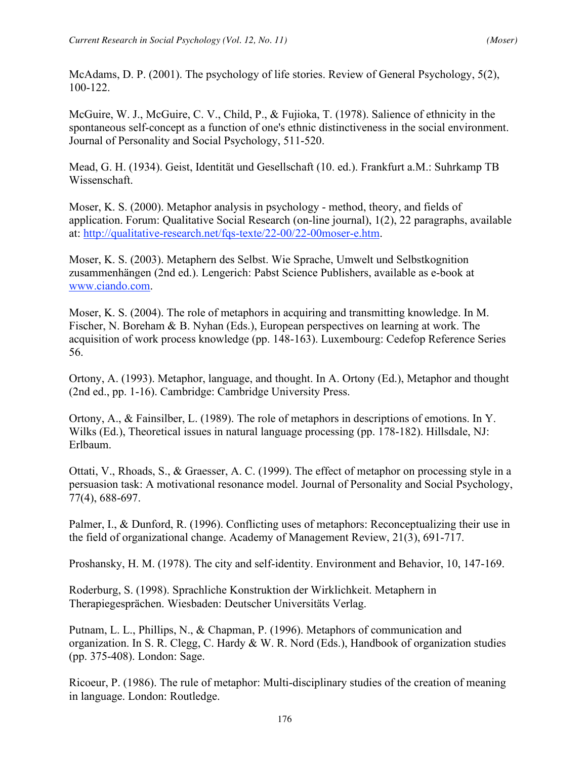McAdams, D. P. (2001). The psychology of life stories. Review of General Psychology, 5(2), 100-122.

McGuire, W. J., McGuire, C. V., Child, P., & Fujioka, T. (1978). Salience of ethnicity in the spontaneous self-concept as a function of one's ethnic distinctiveness in the social environment. Journal of Personality and Social Psychology, 511-520.

Mead, G. H. (1934). Geist, Identität und Gesellschaft (10. ed.). Frankfurt a.M.: Suhrkamp TB Wissenschaft.

Moser, K. S. (2000). Metaphor analysis in psychology - method, theory, and fields of application. Forum: Qualitative Social Research (on-line journal), 1(2), 22 paragraphs, available at: http://qualitative-research.net/fqs-texte/22-00/22-00moser-e.htm.

Moser, K. S. (2003). Metaphern des Selbst. Wie Sprache, Umwelt und Selbstkognition zusammenhängen (2nd ed.). Lengerich: Pabst Science Publishers, available as e-book at www.ciando.com.

Moser, K. S. (2004). The role of metaphors in acquiring and transmitting knowledge. In M. Fischer, N. Boreham & B. Nyhan (Eds.), European perspectives on learning at work. The acquisition of work process knowledge (pp. 148-163). Luxembourg: Cedefop Reference Series 56.

Ortony, A. (1993). Metaphor, language, and thought. In A. Ortony (Ed.), Metaphor and thought (2nd ed., pp. 1-16). Cambridge: Cambridge University Press.

Ortony, A., & Fainsilber, L. (1989). The role of metaphors in descriptions of emotions. In Y. Wilks (Ed.), Theoretical issues in natural language processing (pp. 178-182). Hillsdale, NJ: Erlbaum.

Ottati, V., Rhoads, S., & Graesser, A. C. (1999). The effect of metaphor on processing style in a persuasion task: A motivational resonance model. Journal of Personality and Social Psychology, 77(4), 688-697.

Palmer, I., & Dunford, R. (1996). Conflicting uses of metaphors: Reconceptualizing their use in the field of organizational change. Academy of Management Review, 21(3), 691-717.

Proshansky, H. M. (1978). The city and self-identity. Environment and Behavior, 10, 147-169.

Roderburg, S. (1998). Sprachliche Konstruktion der Wirklichkeit. Metaphern in Therapiegesprächen. Wiesbaden: Deutscher Universitäts Verlag.

Putnam, L. L., Phillips, N., & Chapman, P. (1996). Metaphors of communication and organization. In S. R. Clegg, C. Hardy & W. R. Nord (Eds.), Handbook of organization studies (pp. 375-408). London: Sage.

Ricoeur, P. (1986). The rule of metaphor: Multi-disciplinary studies of the creation of meaning in language. London: Routledge.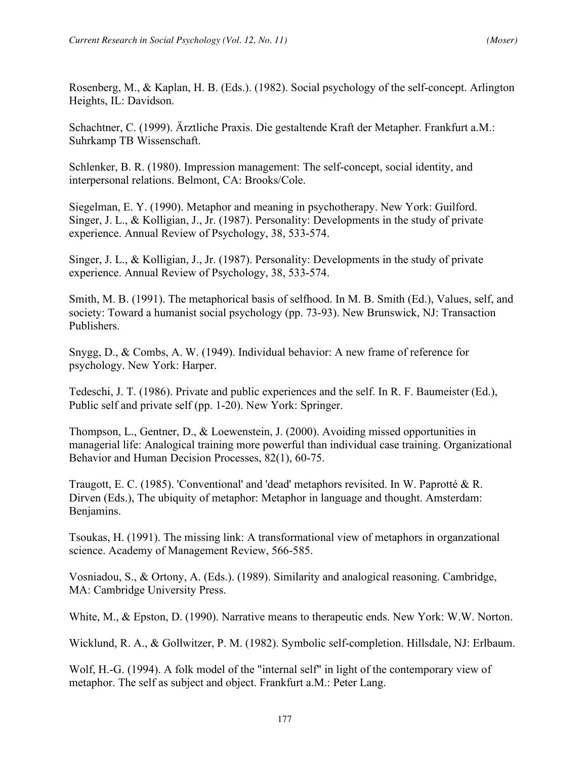Rosenberg, M., & Kaplan, H. B. (Eds.). (1982). Social psychology of the self-concept. Arlington Heights, IL: Davidson.

Schachtner, C. (1999). Ärztliche Praxis. Die gestaltende Kraft der Metapher. Frankfurt a.M.: Suhrkamp TB Wissenschaft.

Schlenker, B. R. (1980). Impression management: The self-concept, social identity, and interpersonal relations. Belmont, CA: Brooks/Cole.

Siegelman, E. Y. (1990). Metaphor and meaning in psychotherapy. New York: Guilford. Singer, J. L., & Kolligian, J., Jr. (1987). Personality: Developments in the study of private experience. Annual Review of Psychology, 38, 533-574.

Singer, J. L., & Kolligian, J., Jr. (1987). Personality: Developments in the study of private experience. Annual Review of Psychology, 38, 533-574.

Smith, M. B. (1991). The metaphorical basis of selfhood. In M. B. Smith (Ed.), Values, self, and society: Toward a humanist social psychology (pp. 73-93). New Brunswick, NJ: Transaction Publishers.

Snygg, D., & Combs, A. W. (1949). Individual behavior: A new frame of reference for psychology. New York: Harper.

Tedeschi, J. T. (1986). Private and public experiences and the self. In R. F. Baumeister (Ed.), Public self and private self (pp. 1-20). New York: Springer.

Thompson, L., Gentner, D., & Loewenstein, J. (2000). Avoiding missed opportunities in managerial life: Analogical training more powerful than individual case training. Organizational Behavior and Human Decision Processes, 82(1), 60-75.

Traugott, E. C. (1985). 'Conventional' and 'dead' metaphors revisited. In W. Paprotté & R. Dirven (Eds.), The ubiquity of metaphor: Metaphor in language and thought. Amsterdam: Benjamins.

Tsoukas, H. (1991). The missing link: A transformational view of metaphors in organzational science. Academy of Management Review, 566-585.

Vosniadou, S., & Ortony, A. (Eds.). (1989). Similarity and analogical reasoning. Cambridge, MA: Cambridge University Press.

White, M., & Epston, D. (1990). Narrative means to therapeutic ends. New York: W.W. Norton.

Wicklund, R. A., & Gollwitzer, P. M. (1982). Symbolic self-completion. Hillsdale, NJ: Erlbaum.

Wolf, H.-G. (1994). A folk model of the "internal self" in light of the contemporary view of metaphor. The self as subject and object. Frankfurt a.M.: Peter Lang.